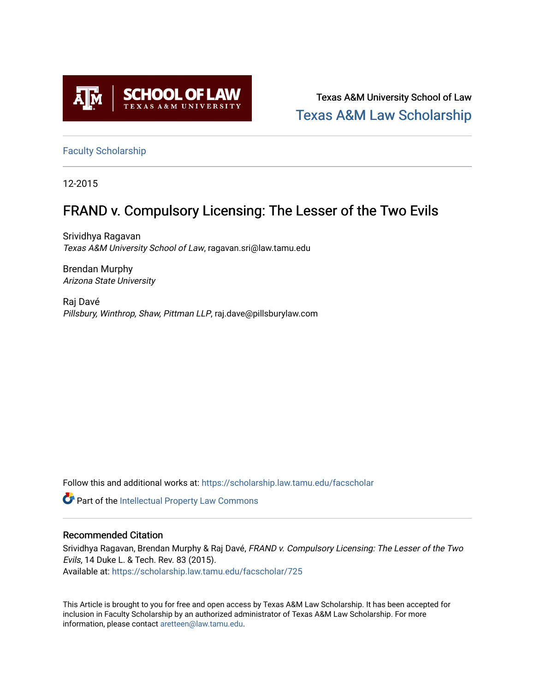

Texas A&M University School of Law [Texas A&M Law Scholarship](https://scholarship.law.tamu.edu/) 

[Faculty Scholarship](https://scholarship.law.tamu.edu/facscholar)

12-2015

# FRAND v. Compulsory Licensing: The Lesser of the Two Evils

Srividhya Ragavan Texas A&M University School of Law, ragavan.sri@law.tamu.edu

Brendan Murphy Arizona State University

Raj Davé Pillsbury, Winthrop, Shaw, Pittman LLP, raj.dave@pillsburylaw.com

Follow this and additional works at: [https://scholarship.law.tamu.edu/facscholar](https://scholarship.law.tamu.edu/facscholar?utm_source=scholarship.law.tamu.edu%2Ffacscholar%2F725&utm_medium=PDF&utm_campaign=PDFCoverPages) 

Part of the [Intellectual Property Law Commons](http://network.bepress.com/hgg/discipline/896?utm_source=scholarship.law.tamu.edu%2Ffacscholar%2F725&utm_medium=PDF&utm_campaign=PDFCoverPages) 

## Recommended Citation

Srividhya Ragavan, Brendan Murphy & Raj Davé, FRAND v. Compulsory Licensing: The Lesser of the Two Evils, 14 Duke L. & Tech. Rev. 83 (2015). Available at: [https://scholarship.law.tamu.edu/facscholar/725](https://scholarship.law.tamu.edu/facscholar/725?utm_source=scholarship.law.tamu.edu%2Ffacscholar%2F725&utm_medium=PDF&utm_campaign=PDFCoverPages)

This Article is brought to you for free and open access by Texas A&M Law Scholarship. It has been accepted for inclusion in Faculty Scholarship by an authorized administrator of Texas A&M Law Scholarship. For more information, please contact [aretteen@law.tamu.edu](mailto:aretteen@law.tamu.edu).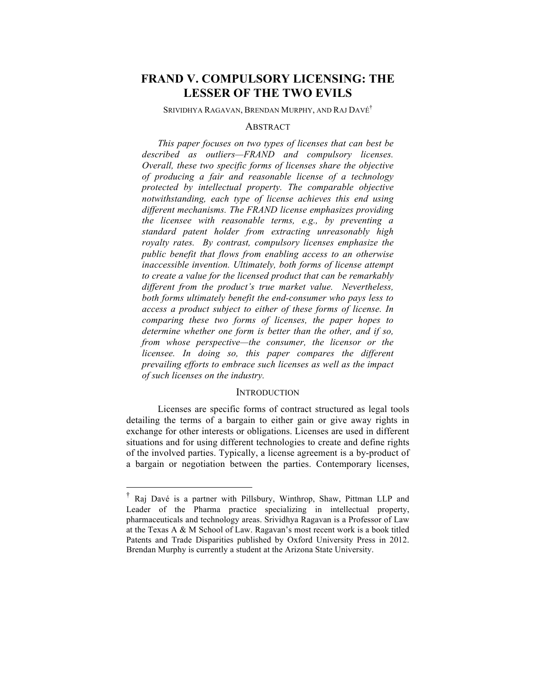## **FRAND V. COMPULSORY LICENSING: THE LESSER OF THE TWO EVILS**

SRIVIDHYA RAGAVAN, BRENDAN MURPHY, AND RAJ DAVÉ†

#### **ABSTRACT**

*This paper focuses on two types of licenses that can best be described as outliers—FRAND and compulsory licenses. Overall, these two specific forms of licenses share the objective of producing a fair and reasonable license of a technology protected by intellectual property. The comparable objective notwithstanding, each type of license achieves this end using different mechanisms. The FRAND license emphasizes providing the licensee with reasonable terms, e.g., by preventing a standard patent holder from extracting unreasonably high royalty rates. By contrast, compulsory licenses emphasize the public benefit that flows from enabling access to an otherwise inaccessible invention. Ultimately, both forms of license attempt to create a value for the licensed product that can be remarkably different from the product's true market value. Nevertheless, both forms ultimately benefit the end-consumer who pays less to access a product subject to either of these forms of license. In comparing these two forms of licenses, the paper hopes to determine whether one form is better than the other, and if so, from whose perspective—the consumer, the licensor or the licensee. In doing so, this paper compares the different prevailing efforts to embrace such licenses as well as the impact of such licenses on the industry.* 

#### **INTRODUCTION**

Licenses are specific forms of contract structured as legal tools detailing the terms of a bargain to either gain or give away rights in exchange for other interests or obligations. Licenses are used in different situations and for using different technologies to create and define rights of the involved parties. Typically, a license agreement is a by-product of a bargain or negotiation between the parties. Contemporary licenses,

 <sup>†</sup> Raj Davé is a partner with Pillsbury, Winthrop, Shaw, Pittman LLP and Leader of the Pharma practice specializing in intellectual property, pharmaceuticals and technology areas. Srividhya Ragavan is a Professor of Law at the Texas A & M School of Law. Ragavan's most recent work is a book titled Patents and Trade Disparities published by Oxford University Press in 2012. Brendan Murphy is currently a student at the Arizona State University.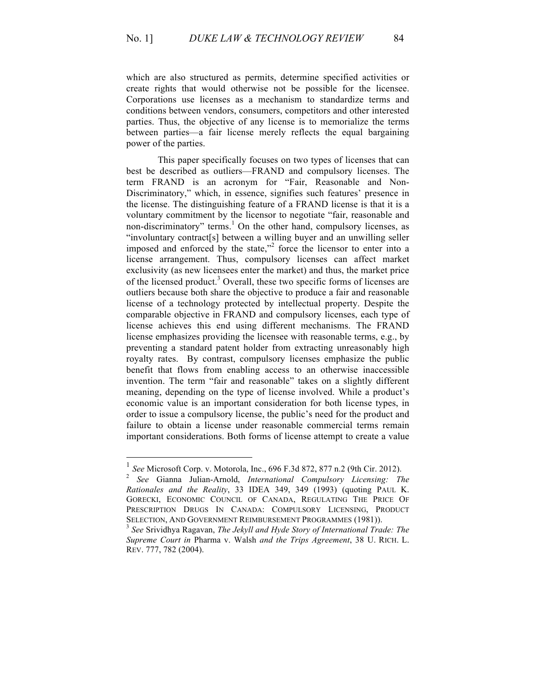which are also structured as permits, determine specified activities or create rights that would otherwise not be possible for the licensee. Corporations use licenses as a mechanism to standardize terms and conditions between vendors, consumers, competitors and other interested parties. Thus, the objective of any license is to memorialize the terms between parties—a fair license merely reflects the equal bargaining power of the parties.

This paper specifically focuses on two types of licenses that can best be described as outliers—FRAND and compulsory licenses. The term FRAND is an acronym for "Fair, Reasonable and Non-Discriminatory," which, in essence, signifies such features' presence in the license. The distinguishing feature of a FRAND license is that it is a voluntary commitment by the licensor to negotiate "fair, reasonable and non-discriminatory" terms.<sup>1</sup> On the other hand, compulsory licenses, as "involuntary contract[s] between a willing buyer and an unwilling seller imposed and enforced by the state, $n^2$  force the licensor to enter into a license arrangement. Thus, compulsory licenses can affect market exclusivity (as new licensees enter the market) and thus, the market price of the licensed product.<sup>3</sup> Overall, these two specific forms of licenses are outliers because both share the objective to produce a fair and reasonable license of a technology protected by intellectual property. Despite the comparable objective in FRAND and compulsory licenses, each type of license achieves this end using different mechanisms. The FRAND license emphasizes providing the licensee with reasonable terms, e.g., by preventing a standard patent holder from extracting unreasonably high royalty rates. By contrast, compulsory licenses emphasize the public benefit that flows from enabling access to an otherwise inaccessible invention. The term "fair and reasonable" takes on a slightly different meaning, depending on the type of license involved. While a product's economic value is an important consideration for both license types, in order to issue a compulsory license, the public's need for the product and failure to obtain a license under reasonable commercial terms remain important considerations. Both forms of license attempt to create a value

<sup>1</sup> *See* Microsoft Corp. v. Motorola, Inc., 696 F.3d 872, 877 n.2 (9th Cir. 2012). 2 *See* Gianna Julian-Arnold, *International Compulsory Licensing: The Rationales and the Reality*, 33 IDEA 349, 349 (1993) (quoting PAUL K. GORECKI, ECONOMIC COUNCIL OF CANADA, REGULATING THE PRICE OF PRESCRIPTION DRUGS IN CANADA: COMPULSORY LICENSING, PRODUCT

SELECTION, AND GOVERNMENT REIMBURSEMENT PROGRAMMES (1981)).<br><sup>3</sup> *See* Srividhya Ragavan, *The Jekyll and Hyde Story of International Trade: The Supreme Court in* Pharma v. Walsh *and the Trips Agreement*, 38 U. RICH. L. REV. 777, 782 (2004).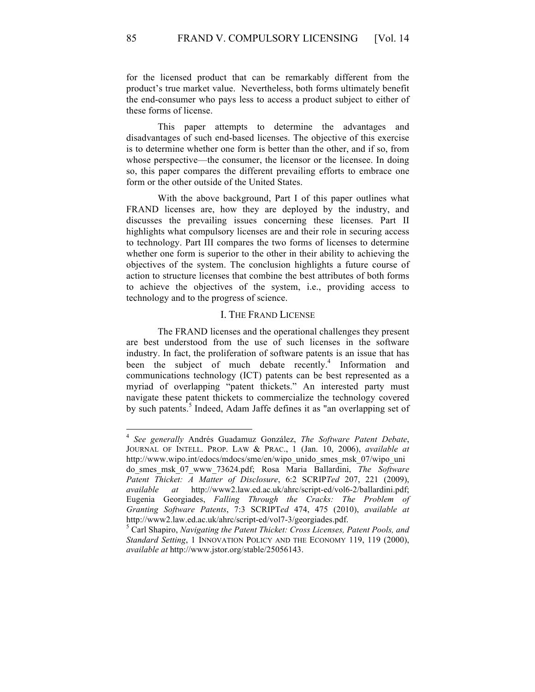for the licensed product that can be remarkably different from the product's true market value. Nevertheless, both forms ultimately benefit the end-consumer who pays less to access a product subject to either of these forms of license.

This paper attempts to determine the advantages and disadvantages of such end-based licenses. The objective of this exercise is to determine whether one form is better than the other, and if so, from whose perspective—the consumer, the licensor or the licensee. In doing so, this paper compares the different prevailing efforts to embrace one form or the other outside of the United States.

With the above background, Part I of this paper outlines what FRAND licenses are, how they are deployed by the industry, and discusses the prevailing issues concerning these licenses. Part II highlights what compulsory licenses are and their role in securing access to technology. Part III compares the two forms of licenses to determine whether one form is superior to the other in their ability to achieving the objectives of the system. The conclusion highlights a future course of action to structure licenses that combine the best attributes of both forms to achieve the objectives of the system, i.e., providing access to technology and to the progress of science.

#### I. THE FRAND LICENSE

The FRAND licenses and the operational challenges they present are best understood from the use of such licenses in the software industry. In fact, the proliferation of software patents is an issue that has been the subject of much debate recently. <sup>4</sup> Information and communications technology (ICT) patents can be best represented as a myriad of overlapping "patent thickets." An interested party must navigate these patent thickets to commercialize the technology covered by such patents.<sup>5</sup> Indeed, Adam Jaffe defines it as "an overlapping set of

 <sup>4</sup> *See generally* Andrés Guadamuz González, *The Software Patent Debate*, JOURNAL OF INTELL. PROP. LAW & PRAC., 1 (Jan. 10, 2006), *available at* http://www.wipo.int/edocs/mdocs/sme/en/wipo\_unido\_smes\_msk\_07/wipo\_uni do\_smes\_msk\_07\_www\_73624.pdf; Rosa Maria Ballardini, *The Software Patent Thicket: A Matter of Disclosure*, 6:2 SCRIP*Ted* 207, 221 (2009), *available at* http://www2.law.ed.ac.uk/ahrc/script-ed/vol6-2/ballardini.pdf; Eugenia Georgiades, *Falling Through the Cracks: The Problem of Granting Software Patents*, 7:3 SCRIPT*ed* 474, 475 (2010), *available at* http://www2.law.ed.ac.uk/ahrc/script-ed/vol7-3/georgiades.pdf. 5 Carl Shapiro, *Navigating the Patent Thicket: Cross Licenses, Patent Pools, and* 

*Standard Setting*, 1 INNOVATION POLICY AND THE ECONOMY 119, 119 (2000), *available at* http://www.jstor.org/stable/25056143.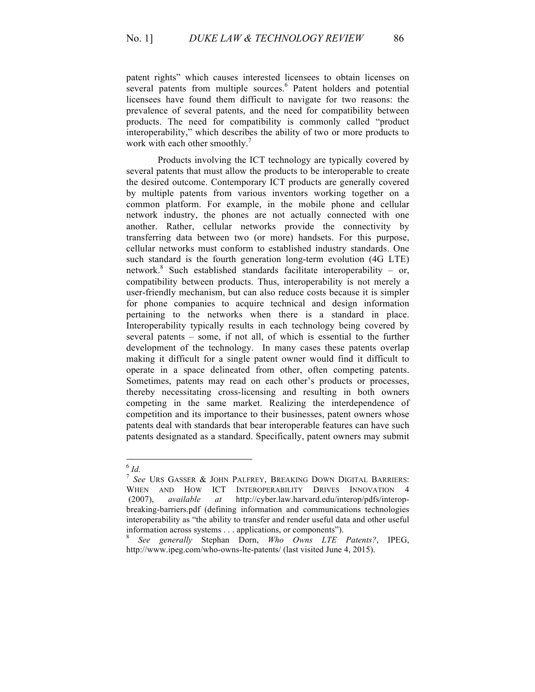patent rights" which causes interested licensees to obtain licenses on several patents from multiple sources.<sup>6</sup> Patent holders and potential licensees have found them difficult to navigate for two reasons: the prevalence of several patents, and the need for compatibility between products. The need for compatibility is commonly called "product interoperability," which describes the ability of two or more products to work with each other smoothly.<sup>7</sup>

Products involving the ICT technology are typically covered by several patents that must allow the products to be interoperable to create the desired outcome. Contemporary ICT products are generally covered by multiple patents from various inventors working together on a common platform. For example, in the mobile phone and cellular network industry, the phones are not actually connected with one another. Rather, cellular networks provide the connectivity by transferring data between two (or more) handsets. For this purpose, cellular networks must conform to established industry standards. One such standard is the fourth generation long-term evolution (4G LTE) network.<sup>8</sup> Such established standards facilitate interoperability – or, compatibility between products. Thus, interoperability is not merely a user-friendly mechanism, but can also reduce costs because it is simpler for phone companies to acquire technical and design information pertaining to the networks when there is a standard in place. Interoperability typically results in each technology being covered by several patents – some, if not all, of which is essential to the further development of the technology. In many cases these patents overlap making it difficult for a single patent owner would find it difficult to operate in a space delineated from other, often competing patents. Sometimes, patents may read on each other's products or processes, thereby necessitating cross-licensing and resulting in both owners competing in the same market. Realizing the interdependence of competition and its importance to their businesses, patent owners whose patents deal with standards that bear interoperable features can have such patents designated as a standard. Specifically, patent owners may submit

 <sup>6</sup> *Id.*

<sup>7</sup> *See* URS GASSER & JOHN PALFREY, BREAKING DOWN DIGITAL BARRIERS: WHEN AND HOW ICT INTEROPERABILITY DRIVES INNOVATION (2007), *available at* http://cyber.law.harvard.edu/interop/pdfs/interopbreaking-barriers.pdf (defining information and communications technologies interoperability as "the ability to transfer and render useful data and other useful

information across systems . . . applications, or components"). <sup>8</sup> *See generally* Stephan Dorn, *Who Owns LTE Patents?*, IPEG, http://www.ipeg.com/who-owns-lte-patents/ (last visited June 4, 2015).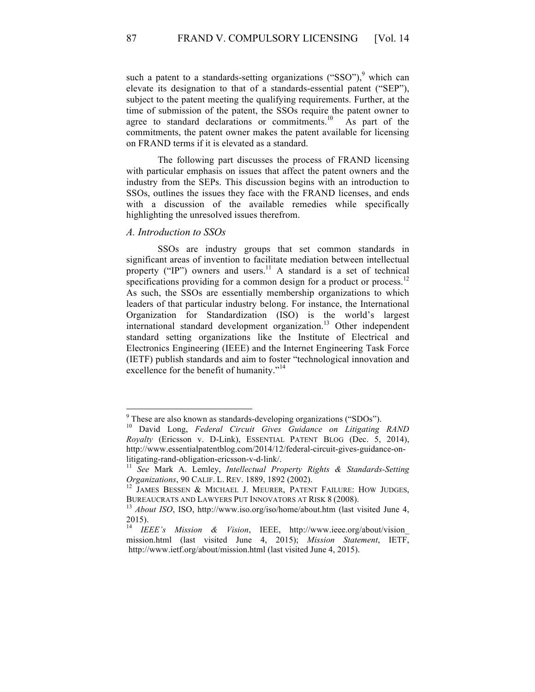such a patent to a standards-setting organizations ("SSO"),<sup>9</sup> which can elevate its designation to that of a standards-essential patent ("SEP"), subject to the patent meeting the qualifying requirements. Further, at the time of submission of the patent, the SSOs require the patent owner to agree to standard declarations or commitments.<sup>10</sup> As part of the commitments, the patent owner makes the patent available for licensing on FRAND terms if it is elevated as a standard.

The following part discusses the process of FRAND licensing with particular emphasis on issues that affect the patent owners and the industry from the SEPs. This discussion begins with an introduction to SSOs, outlines the issues they face with the FRAND licenses, and ends with a discussion of the available remedies while specifically highlighting the unresolved issues therefrom.

## *A. Introduction to SSOs*

SSOs are industry groups that set common standards in significant areas of invention to facilitate mediation between intellectual property ("IP") owners and users.<sup>11</sup> A standard is a set of technical specifications providing for a common design for a product or process.<sup>12</sup> As such, the SSOs are essentially membership organizations to which leaders of that particular industry belong. For instance, the International Organization for Standardization (ISO) is the world's largest international standard development organization.<sup>13</sup> Other independent standard setting organizations like the Institute of Electrical and Electronics Engineering (IEEE) and the Internet Engineering Task Force (IETF) publish standards and aim to foster "technological innovation and excellence for the benefit of humanity."<sup>14</sup>

<sup>&</sup>lt;sup>9</sup> These are also known as standards-developing organizations ("SDOs").<br><sup>10</sup> David Long, *Federal Circuit Gives Guidance on Litigating RAND Royalty* (Ericsson v. D-Link), ESSENTIAL PATENT BLOG (Dec. 5, 2014), http://www.essentialpatentblog.com/2014/12/federal-circuit-gives-guidance-on-

litigating-rand-obligation-ericsson-v-d-link/.<br><sup>11</sup> *See* Mark A. Lemley, *Intellectual Property Rights & Standards-Setting Organizations*, 90 CALIF. L. REV. 1889, 1892 (2002).

<sup>&</sup>lt;sup>12</sup> JAMES BESSEN & MICHAEL J. MEURER, PATENT FAILURE: HOW JUDGES, BUREAUCRATS AND LAWYERS PUT INNOVATORS AT RISK 8 (2008).<br><sup>13</sup> *About ISO*, ISO, http://www.iso.org/iso/home/about.htm (last visited June 4,

 $\frac{2015}{14}$ .

<sup>14</sup> *IEEE's Mission & Vision*, IEEE, http://www.ieee.org/about/vision\_ mission.html (last visited June 4, 2015); *Mission Statement*, IETF, http://www.ietf.org/about/mission.html (last visited June 4, 2015).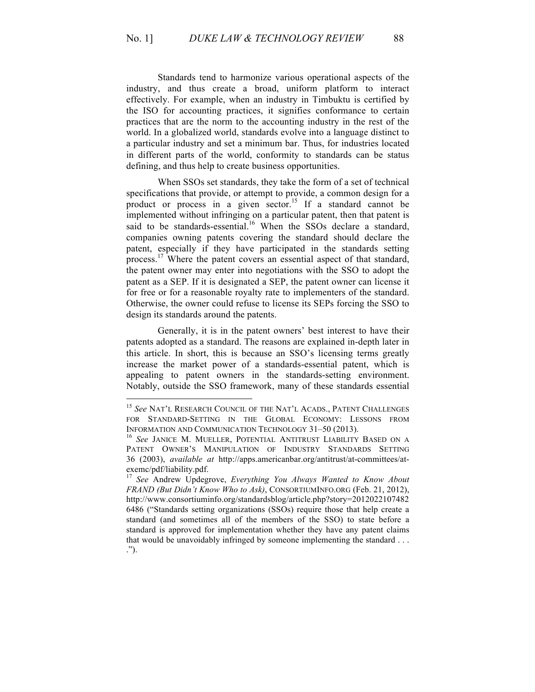Standards tend to harmonize various operational aspects of the industry, and thus create a broad, uniform platform to interact effectively. For example, when an industry in Timbuktu is certified by the ISO for accounting practices, it signifies conformance to certain practices that are the norm to the accounting industry in the rest of the world. In a globalized world, standards evolve into a language distinct to a particular industry and set a minimum bar. Thus, for industries located in different parts of the world, conformity to standards can be status defining, and thus help to create business opportunities.

When SSOs set standards, they take the form of a set of technical specifications that provide, or attempt to provide, a common design for a product or process in a given sector.<sup>15</sup> If a standard cannot be implemented without infringing on a particular patent, then that patent is said to be standards-essential.<sup>16</sup> When the SSOs declare a standard, companies owning patents covering the standard should declare the patent, especially if they have participated in the standards setting process.<sup>17</sup> Where the patent covers an essential aspect of that standard, the patent owner may enter into negotiations with the SSO to adopt the patent as a SEP. If it is designated a SEP, the patent owner can license it for free or for a reasonable royalty rate to implementers of the standard. Otherwise, the owner could refuse to license its SEPs forcing the SSO to design its standards around the patents.

Generally, it is in the patent owners' best interest to have their patents adopted as a standard. The reasons are explained in-depth later in this article. In short, this is because an SSO's licensing terms greatly increase the market power of a standards-essential patent, which is appealing to patent owners in the standards-setting environment. Notably, outside the SSO framework, many of these standards essential

 <sup>15</sup> *See* NAT'L RESEARCH COUNCIL OF THE NAT'L ACADS., PATENT CHALLENGES FOR STANDARD-SETTING IN THE GLOBAL ECONOMY: LESSONS FROM INFORMATION AND COMMUNICATION TECHNOLOGY 31–50 (2013). <sup>16</sup> *See* JANICE M. MUELLER, POTENTIAL ANTITRUST LIABILITY BASED ON A

PATENT OWNER'S MANIPULATION OF INDUSTRY STANDARDS SETTING 36 (2003), *available at* http://apps.americanbar.org/antitrust/at-committees/atexemc/pdf/liability.pdf.

<sup>17</sup> *See* Andrew Updegrove, *Everything You Always Wanted to Know About FRAND (But Didn't Know Who to Ask)*, CONSORTIUMINFO.ORG (Feb. 21, 2012), http://www.consortiuminfo.org/standardsblog/article.php?story=2012022107482 6486 ("Standards setting organizations (SSOs) require those that help create a standard (and sometimes all of the members of the SSO) to state before a standard is approved for implementation whether they have any patent claims that would be unavoidably infringed by someone implementing the standard . . . .").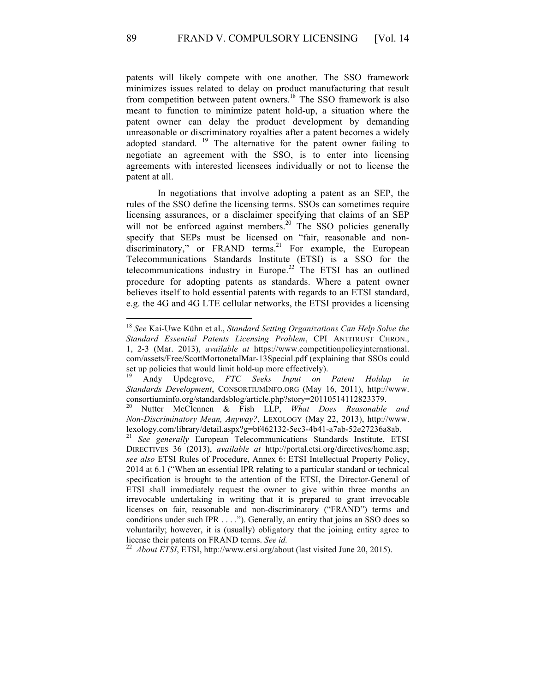patents will likely compete with one another. The SSO framework minimizes issues related to delay on product manufacturing that result from competition between patent owners.<sup>18</sup> The SSO framework is also meant to function to minimize patent hold-up, a situation where the patent owner can delay the product development by demanding unreasonable or discriminatory royalties after a patent becomes a widely adopted standard.<sup>19</sup> The alternative for the patent owner failing to negotiate an agreement with the SSO, is to enter into licensing agreements with interested licensees individually or not to license the patent at all.

In negotiations that involve adopting a patent as an SEP, the rules of the SSO define the licensing terms. SSOs can sometimes require licensing assurances, or a disclaimer specifying that claims of an SEP will not be enforced against members.<sup>20</sup> The SSO policies generally specify that SEPs must be licensed on "fair, reasonable and nondiscriminatory," or FRAND terms.<sup>21</sup> For example, the European Telecommunications Standards Institute (ETSI) is a SSO for the telecommunications industry in Europe.<sup>22</sup> The ETSI has an outlined procedure for adopting patents as standards. Where a patent owner believes itself to hold essential patents with regards to an ETSI standard, e.g. the 4G and 4G LTE cellular networks, the ETSI provides a licensing

 <sup>18</sup> *See* Kai-Uwe Kühn et al., *Standard Setting Organizations Can Help Solve the Standard Essential Patents Licensing Problem*, CPI ANTITRUST CHRON., 1, 2-3 (Mar. 2013), *available at* https://www.competitionpolicyinternational. com/assets/Free/ScottMortonetalMar-13Special.pdf (explaining that SSOs could set up policies that would limit hold-up more effectively). <sup>19</sup> Andy Updegrove, *FTC Seeks Input on Patent Holdup in*

*Standards Development*, CONSORTIUMINFO.ORG (May 16, 2011), http://www. consortiuminfo.org/standardsblog/article.php?story=20110514112823379.

<sup>20</sup> Nutter McClennen & Fish LLP, *What Does Reasonable and Non-Discriminatory Mean, Anyway?*, LEXOLOGY (May 22, 2013), http://www.

lexology.com/library/detail.aspx?g=bf462132-5ec3-4b41-a7ab-52e27236a8ab. <sup>21</sup> *See generally* European Telecommunications Standards Institute, ETSI DIRECTIVES 36 (2013), *available at* http://portal.etsi.org/directives/home.asp; *see also* ETSI Rules of Procedure, Annex 6: ETSI Intellectual Property Policy, 2014 at 6.1 ("When an essential IPR relating to a particular standard or technical specification is brought to the attention of the ETSI, the Director-General of ETSI shall immediately request the owner to give within three months an irrevocable undertaking in writing that it is prepared to grant irrevocable licenses on fair, reasonable and non-discriminatory ("FRAND") terms and conditions under such IPR . . . ."). Generally, an entity that joins an SSO does so voluntarily; however, it is (usually) obligatory that the joining entity agree to license their patents on FRAND terms. *See id.* <sup>22</sup> *About ETSI*, ETSI, http://www.etsi.org/about (last visited June 20, 2015).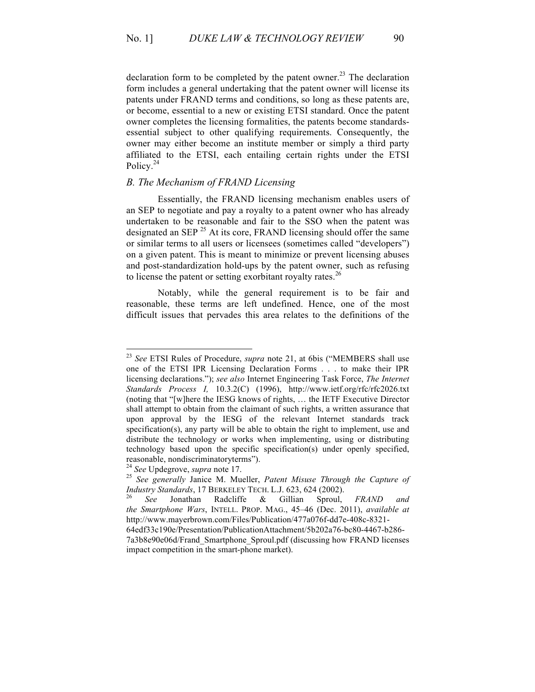declaration form to be completed by the patent owner.<sup>23</sup> The declaration form includes a general undertaking that the patent owner will license its patents under FRAND terms and conditions, so long as these patents are, or become, essential to a new or existing ETSI standard. Once the patent owner completes the licensing formalities, the patents become standardsessential subject to other qualifying requirements. Consequently, the owner may either become an institute member or simply a third party affiliated to the ETSI, each entailing certain rights under the ETSI Policy.<sup>24</sup>

## *B. The Mechanism of FRAND Licensing*

Essentially, the FRAND licensing mechanism enables users of an SEP to negotiate and pay a royalty to a patent owner who has already undertaken to be reasonable and fair to the SSO when the patent was designated an  $\text{SEP}^{25}$  At its core, FRAND licensing should offer the same or similar terms to all users or licensees (sometimes called "developers") on a given patent. This is meant to minimize or prevent licensing abuses and post-standardization hold-ups by the patent owner, such as refusing to license the patent or setting exorbitant royalty rates.<sup>26</sup>

Notably, while the general requirement is to be fair and reasonable, these terms are left undefined. Hence, one of the most difficult issues that pervades this area relates to the definitions of the

 <sup>23</sup> *See* ETSI Rules of Procedure, *supra* note 21, at 6bis ("MEMBERS shall use one of the ETSI IPR Licensing Declaration Forms . . . to make their IPR licensing declarations."); *see also* Internet Engineering Task Force, *The Internet Standards Process I,* 10.3.2(C) (1996), http://www.ietf.org/rfc/rfc2026.txt (noting that "[w]here the IESG knows of rights, … the IETF Executive Director shall attempt to obtain from the claimant of such rights, a written assurance that upon approval by the IESG of the relevant Internet standards track specification(s), any party will be able to obtain the right to implement, use and distribute the technology or works when implementing, using or distributing technology based upon the specific specification(s) under openly specified, reasonable, nondiscriminatoryterms").<br><sup>24</sup> See Updegrove, *supra* note 17.

<sup>&</sup>lt;sup>25</sup> See generally Janice M. Mueller, Patent Misuse Through the Capture of *Industry Standards*, 17 BERKELEY TECH. L.J. 623, 624 (2002). <sup>26</sup> *See* Jonathan Radcliffe & Gillian Sproul, *FRAND and*

*the Smartphone Wars*, INTELL. PROP. MAG., 45–46 (Dec. 2011), *available at* http://www.mayerbrown.com/Files/Publication/477a076f-dd7e-408c-8321-

<sup>64</sup>edf33c190e/Presentation/PublicationAttachment/5b202a76-bc80-4467-b286- 7a3b8e90e06d/Frand\_Smartphone\_Sproul.pdf (discussing how FRAND licenses impact competition in the smart-phone market).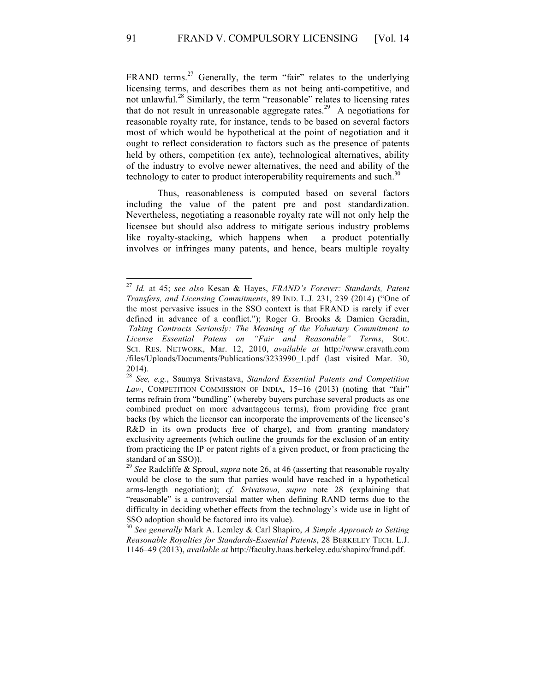FRAND terms.<sup>27</sup> Generally, the term "fair" relates to the underlying licensing terms, and describes them as not being anti-competitive, and not unlawful.<sup>28</sup> Similarly, the term "reasonable" relates to licensing rates that do not result in unreasonable aggregate rates.<sup>29</sup> A negotiations for reasonable royalty rate, for instance, tends to be based on several factors most of which would be hypothetical at the point of negotiation and it ought to reflect consideration to factors such as the presence of patents held by others, competition (ex ante), technological alternatives, ability of the industry to evolve newer alternatives, the need and ability of the technology to cater to product interoperability requirements and such.<sup>30</sup>

Thus, reasonableness is computed based on several factors including the value of the patent pre and post standardization. Nevertheless, negotiating a reasonable royalty rate will not only help the licensee but should also address to mitigate serious industry problems like royalty-stacking, which happens when a product potentially involves or infringes many patents, and hence, bears multiple royalty

 <sup>27</sup> *Id.* at 45; *see also* Kesan & Hayes, *FRAND's Forever: Standards, Patent Transfers, and Licensing Commitments*, 89 IND. L.J. 231, 239 (2014) ("One of the most pervasive issues in the SSO context is that FRAND is rarely if ever defined in advance of a conflict."); Roger G. Brooks & Damien Geradin, *Taking Contracts Seriously: The Meaning of the Voluntary Commitment to License Essential Patens on "Fair and Reasonable" Terms*, SOC. SCI. RES. NETWORK, Mar. 12, 2010, *available at* http://www.cravath.com /files/Uploads/Documents/Publications/3233990\_1.pdf (last visited Mar. 30, 2014).

<sup>28</sup> *See, e.g.*, Saumya Srivastava, *Standard Essential Patents and Competition*  Law, COMPETITION COMMISSION OF INDIA, 15-16 (2013) (noting that "fair" terms refrain from "bundling" (whereby buyers purchase several products as one combined product on more advantageous terms), from providing free grant backs (by which the licensor can incorporate the improvements of the licensee's R&D in its own products free of charge), and from granting mandatory exclusivity agreements (which outline the grounds for the exclusion of an entity from practicing the IP or patent rights of a given product, or from practicing the standard of an SSO)).

<sup>29</sup> *See* Radcliffe & Sproul, *supra* note 26, at 46 (asserting that reasonable royalty would be close to the sum that parties would have reached in a hypothetical arms-length negotiation); *cf. Srivatsava, supra* note 28 (explaining that "reasonable" is a controversial matter when defining RAND terms due to the difficulty in deciding whether effects from the technology's wide use in light of SSO adoption should be factored into its value).

<sup>30</sup> *See generally* Mark A. Lemley & Carl Shapiro, *A Simple Approach to Setting Reasonable Royalties for Standards-Essential Patents*, 28 BERKELEY TECH. L.J. 1146–49 (2013), *available at* http://faculty.haas.berkeley.edu/shapiro/frand.pdf.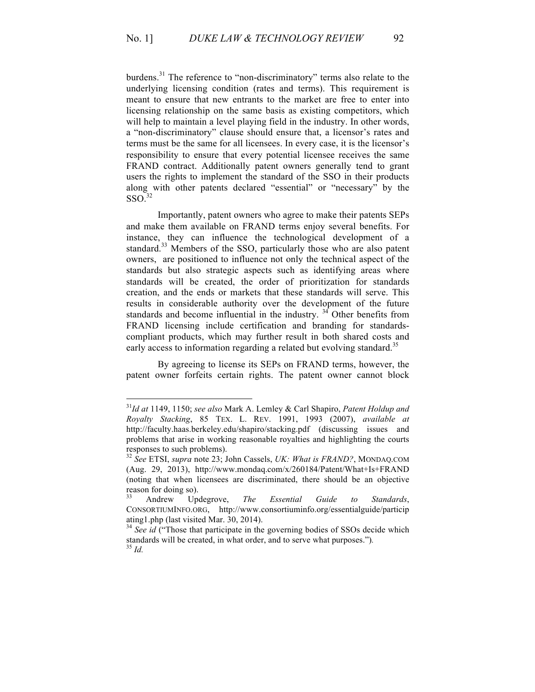burdens.<sup>31</sup> The reference to "non-discriminatory" terms also relate to the underlying licensing condition (rates and terms). This requirement is meant to ensure that new entrants to the market are free to enter into licensing relationship on the same basis as existing competitors, which will help to maintain a level playing field in the industry. In other words, a "non-discriminatory" clause should ensure that, a licensor's rates and terms must be the same for all licensees. In every case, it is the licensor's responsibility to ensure that every potential licensee receives the same FRAND contract. Additionally patent owners generally tend to grant users the rights to implement the standard of the SSO in their products along with other patents declared "essential" or "necessary" by the  $SSO<sup>32</sup>$ 

Importantly, patent owners who agree to make their patents SEPs and make them available on FRAND terms enjoy several benefits. For instance, they can influence the technological development of a standard.<sup>33</sup> Members of the SSO, particularly those who are also patent owners, are positioned to influence not only the technical aspect of the standards but also strategic aspects such as identifying areas where standards will be created, the order of prioritization for standards creation, and the ends or markets that these standards will serve. This results in considerable authority over the development of the future standards and become influential in the industry.  $3<sup>4</sup>$  Other benefits from FRAND licensing include certification and branding for standardscompliant products, which may further result in both shared costs and early access to information regarding a related but evolving standard.<sup>35</sup>

By agreeing to license its SEPs on FRAND terms, however, the patent owner forfeits certain rights. The patent owner cannot block

 <sup>31</sup>*Id at* 1149, 1150; *see also* Mark A. Lemley & Carl Shapiro, *Patent Holdup and Royalty Stacking*, 85 TEX. L. REV. 1991, 1993 (2007), *available at* http://faculty.haas.berkeley.edu/shapiro/stacking.pdf (discussing issues and problems that arise in working reasonable royalties and highlighting the courts responses to such problems). <sup>32</sup> *See* ETSI, *supra* note 23; John Cassels, *UK: What is FRAND?*, MONDAQ.COM

<sup>(</sup>Aug. 29, 2013), http://www.mondaq.com/x/260184/Patent/What+Is+FRAND (noting that when licensees are discriminated, there should be an objective reason for doing so). <sup>33</sup> Andrew Updegrove, *The Essential Guide to Standards*,

CONSORTIUMINFO.ORG, http://www.consortiuminfo.org/essentialguide/particip ating1.php (last visited Mar. 30, 2014). <sup>34</sup> *See id* ("Those that participate in the governing bodies of SSOs decide which

standards will be created, in what order, and to serve what purposes.")*.* <sup>35</sup> *Id.*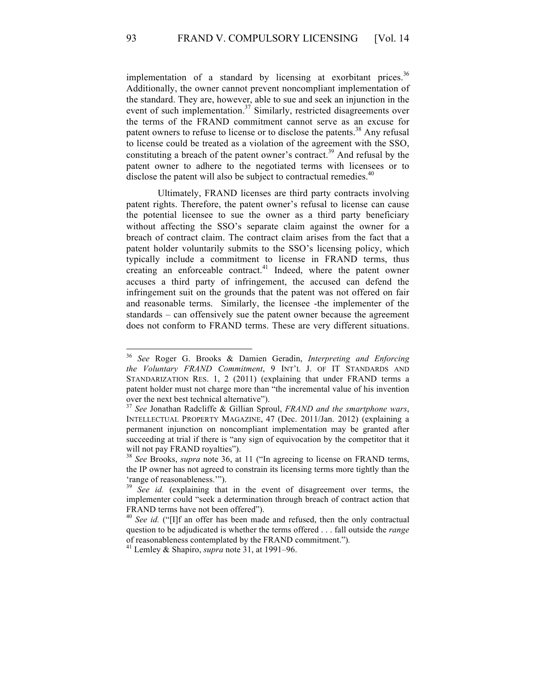implementation of a standard by licensing at exorbitant prices.<sup>36</sup> Additionally, the owner cannot prevent noncompliant implementation of the standard. They are, however, able to sue and seek an injunction in the event of such implementation.<sup>37</sup> Similarly, restricted disagreements over the terms of the FRAND commitment cannot serve as an excuse for patent owners to refuse to license or to disclose the patents.<sup>38</sup> Any refusal to license could be treated as a violation of the agreement with the SSO, constituting a breach of the patent owner's contract.<sup>39</sup> And refusal by the patent owner to adhere to the negotiated terms with licensees or to disclose the patent will also be subject to contractual remedies.<sup>40</sup>

Ultimately, FRAND licenses are third party contracts involving patent rights. Therefore, the patent owner's refusal to license can cause the potential licensee to sue the owner as a third party beneficiary without affecting the SSO's separate claim against the owner for a breach of contract claim. The contract claim arises from the fact that a patent holder voluntarily submits to the SSO's licensing policy, which typically include a commitment to license in FRAND terms, thus creating an enforceable contract. <sup>41</sup> Indeed, where the patent owner accuses a third party of infringement, the accused can defend the infringement suit on the grounds that the patent was not offered on fair and reasonable terms. Similarly, the licensee -the implementer of the standards – can offensively sue the patent owner because the agreement does not conform to FRAND terms. These are very different situations.

 <sup>36</sup> *See* Roger G. Brooks & Damien Geradin, *Interpreting and Enforcing the Voluntary FRAND Commitment*, 9 INT'L J. OF IT STANDARDS AND STANDARIZATION RES. 1, 2 (2011) (explaining that under FRAND terms a patent holder must not charge more than "the incremental value of his invention over the next best technical alternative").

<sup>37</sup> *See* Jonathan Radcliffe & Gillian Sproul, *FRAND and the smartphone wars*, INTELLECTUAL PROPERTY MAGAZINE, 47 (Dec. 2011/Jan. 2012) (explaining a permanent injunction on noncompliant implementation may be granted after succeeding at trial if there is "any sign of equivocation by the competitor that it will not pay FRAND royalties").

<sup>38</sup> *See* Brooks, *supra* note 36, at 11 ("In agreeing to license on FRAND terms, the IP owner has not agreed to constrain its licensing terms more tightly than the 'range of reasonableness.'").

<sup>&</sup>lt;sup>39</sup> See id. (explaining that in the event of disagreement over terms, the implementer could "seek a determination through breach of contract action that FRAND terms have not been offered").

<sup>&</sup>lt;sup>40</sup> See id. ("[I]f an offer has been made and refused, then the only contractual question to be adjudicated is whether the terms offered . . . fall outside the *range* of reasonableness contemplated by the FRAND commitment.")*.* <sup>41</sup> Lemley & Shapiro, *supra* note 31, at 1991–96.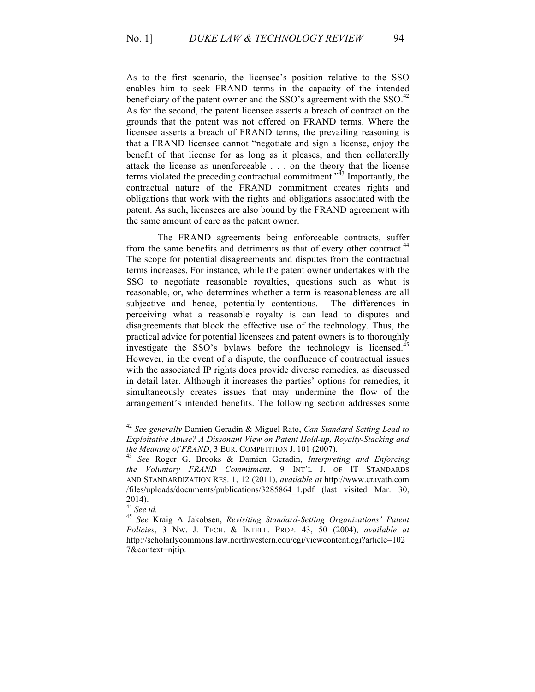As to the first scenario, the licensee's position relative to the SSO enables him to seek FRAND terms in the capacity of the intended beneficiary of the patent owner and the SSO's agreement with the SSO. $42$ As for the second, the patent licensee asserts a breach of contract on the grounds that the patent was not offered on FRAND terms. Where the licensee asserts a breach of FRAND terms, the prevailing reasoning is that a FRAND licensee cannot "negotiate and sign a license, enjoy the benefit of that license for as long as it pleases, and then collaterally attack the license as unenforceable . . . on the theory that the license terms violated the preceding contractual commitment.<sup>343</sup> Importantly, the contractual nature of the FRAND commitment creates rights and obligations that work with the rights and obligations associated with the patent. As such, licensees are also bound by the FRAND agreement with the same amount of care as the patent owner.

The FRAND agreements being enforceable contracts, suffer from the same benefits and detriments as that of every other contract.<sup>44</sup> The scope for potential disagreements and disputes from the contractual terms increases. For instance, while the patent owner undertakes with the SSO to negotiate reasonable royalties, questions such as what is reasonable, or, who determines whether a term is reasonableness are all subjective and hence, potentially contentious. The differences in perceiving what a reasonable royalty is can lead to disputes and disagreements that block the effective use of the technology. Thus, the practical advice for potential licensees and patent owners is to thoroughly investigate the SSO's bylaws before the technology is licensed.<sup>45</sup> However, in the event of a dispute, the confluence of contractual issues with the associated IP rights does provide diverse remedies, as discussed in detail later. Although it increases the parties' options for remedies, it simultaneously creates issues that may undermine the flow of the arrangement's intended benefits. The following section addresses some

 <sup>42</sup> *See generally* Damien Geradin & Miguel Rato, *Can Standard-Setting Lead to Exploitative Abuse? A Dissonant View on Patent Hold-up, Royalty-Stacking and the Meaning of FRAND*, 3 EUR. COMPETITION J. 101 (2007). <sup>43</sup> *See* Roger G. Brooks & Damien Geradin, *Interpreting and Enforcing*

*the Voluntary FRAND Commitment*, 9 INT'L J. OF IT STANDARDS AND STANDARDIZATION RES. 1, 12 (2011), *available at* http://www.cravath.com /files/uploads/documents/publications/3285864\_1.pdf (last visited Mar. 30, 2014).<br><sup>44</sup> See id.

<sup>&</sup>lt;sup>45</sup> See Kraig A Jakobsen, *Revisiting Standard-Setting Organizations' Patent Policies*, 3 NW. J. TECH. & INTELL. PROP. 43, 50 (2004), *available at*  http://scholarlycommons.law.northwestern.edu/cgi/viewcontent.cgi?article=102 7&context=njtip.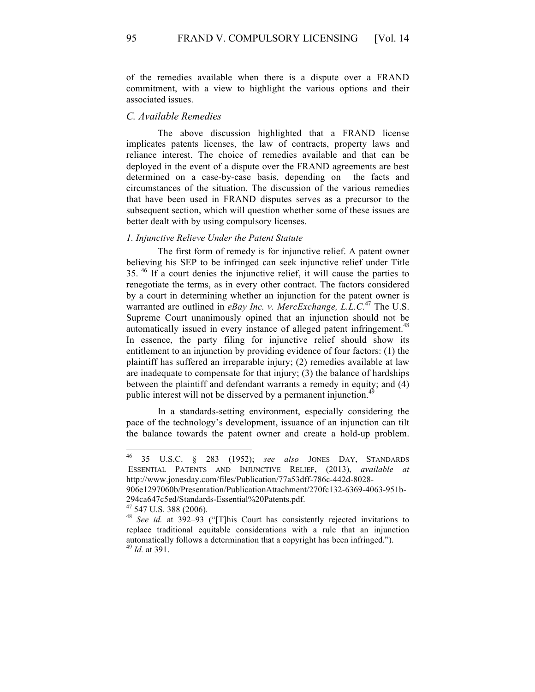of the remedies available when there is a dispute over a FRAND commitment, with a view to highlight the various options and their associated issues.

#### *C. Available Remedies*

The above discussion highlighted that a FRAND license implicates patents licenses, the law of contracts, property laws and reliance interest. The choice of remedies available and that can be deployed in the event of a dispute over the FRAND agreements are best determined on a case-by-case basis, depending on the facts and circumstances of the situation. The discussion of the various remedies that have been used in FRAND disputes serves as a precursor to the subsequent section, which will question whether some of these issues are better dealt with by using compulsory licenses.

#### *1. Injunctive Relieve Under the Patent Statute*

The first form of remedy is for injunctive relief. A patent owner believing his SEP to be infringed can seek injunctive relief under Title 35. <sup>46</sup> If a court denies the injunctive relief, it will cause the parties to renegotiate the terms, as in every other contract. The factors considered by a court in determining whether an injunction for the patent owner is warranted are outlined in *eBay Inc. v. MercExchange, L.L.C.*<sup>47</sup> The U.S. Supreme Court unanimously opined that an injunction should not be automatically issued in every instance of alleged patent infringement.<sup>48</sup> In essence, the party filing for injunctive relief should show its entitlement to an injunction by providing evidence of four factors: (1) the plaintiff has suffered an irreparable injury; (2) remedies available at law are inadequate to compensate for that injury; (3) the balance of hardships between the plaintiff and defendant warrants a remedy in equity; and (4) public interest will not be disserved by a permanent injunction.<sup>49</sup>

In a standards-setting environment, especially considering the pace of the technology's development, issuance of an injunction can tilt the balance towards the patent owner and create a hold-up problem.

 <sup>46</sup> 35 U.S.C. § 283 (1952); *see also* JONES DAY, STANDARDS ESSENTIAL PATENTS AND INJUNCTIVE RELIEF, (2013), *available at*  http://www.jonesday.com/files/Publication/77a53dff-786c-442d-8028-

<sup>906</sup>e1297060b/Presentation/PublicationAttachment/270fc132-6369-4063-951b-294ca647c5ed/Standards-Essential%20Patents.pdf. 47 547 U.S. 388 (2006)*.* <sup>48</sup> *See id.* at 392–93 ("[T]his Court has consistently rejected invitations to

replace traditional equitable considerations with a rule that an injunction automatically follows a determination that a copyright has been infringed."). <sup>49</sup> *Id.* at 391.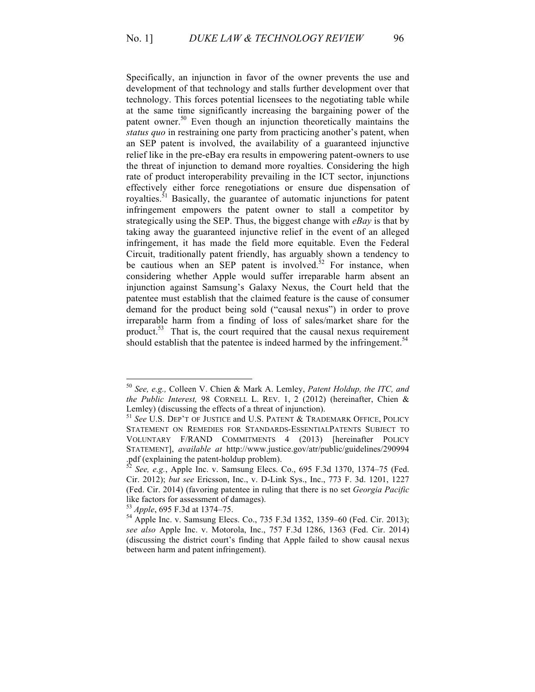Specifically, an injunction in favor of the owner prevents the use and development of that technology and stalls further development over that technology. This forces potential licensees to the negotiating table while at the same time significantly increasing the bargaining power of the patent owner. <sup>50</sup> Even though an injunction theoretically maintains the *status quo* in restraining one party from practicing another's patent, when an SEP patent is involved, the availability of a guaranteed injunctive relief like in the pre-eBay era results in empowering patent-owners to use the threat of injunction to demand more royalties. Considering the high rate of product interoperability prevailing in the ICT sector, injunctions effectively either force renegotiations or ensure due dispensation of royalties.<sup>51</sup> Basically, the guarantee of automatic injunctions for patent infringement empowers the patent owner to stall a competitor by strategically using the SEP. Thus, the biggest change with *eBay* is that by taking away the guaranteed injunctive relief in the event of an alleged infringement, it has made the field more equitable. Even the Federal Circuit, traditionally patent friendly, has arguably shown a tendency to be cautious when an SEP patent is involved.<sup>52</sup> For instance, when considering whether Apple would suffer irreparable harm absent an injunction against Samsung's Galaxy Nexus, the Court held that the patentee must establish that the claimed feature is the cause of consumer demand for the product being sold ("causal nexus") in order to prove irreparable harm from a finding of loss of sales/market share for the product. $53$  That is, the court required that the causal nexus requirement should establish that the patentee is indeed harmed by the infringement.<sup>54</sup>

 <sup>50</sup> *See, e.g.,* Colleen V. Chien & Mark A. Lemley, *Patent Holdup, the ITC, and the Public Interest,* 98 CORNELL L. REV. 1, 2 (2012) (hereinafter, Chien & Lemley) (discussing the effects of a threat of injunction). <sup>51</sup> *See* U.S. DEP'T OF JUSTICE and U.S. PATENT & TRADEMARK OFFICE, POLICY

STATEMENT ON REMEDIES FOR STANDARDS-ESSENTIALPATENTS SUBJECT TO VOLUNTARY F/RAND COMMITMENTS 4 (2013) [hereinafter POLICY STATEMENT], *available at* http://www.justice.gov/atr/public/guidelines/290994<br>.pdf (explaining the patent-holdup problem).

See, e.g., Apple Inc. v. Samsung Elecs. Co., 695 F.3d 1370, 1374–75 (Fed. Cir. 2012); *but see* Ericsson, Inc., v. D-Link Sys., Inc., 773 F. 3d. 1201, 1227 (Fed. Cir. 2014) (favoring patentee in ruling that there is no set *Georgia Pacific*  like factors for assessment of damages).<br> $^{53}$  *Apple*, 695 F.3d at 1374–75.

<sup>&</sup>lt;sup>54</sup> Apple Inc. v. Samsung Elecs. Co., 735 F.3d 1352, 1359–60 (Fed. Cir. 2013); *see also* Apple Inc. v. Motorola, Inc., 757 F.3d 1286, 1363 (Fed. Cir. 2014) (discussing the district court's finding that Apple failed to show causal nexus between harm and patent infringement).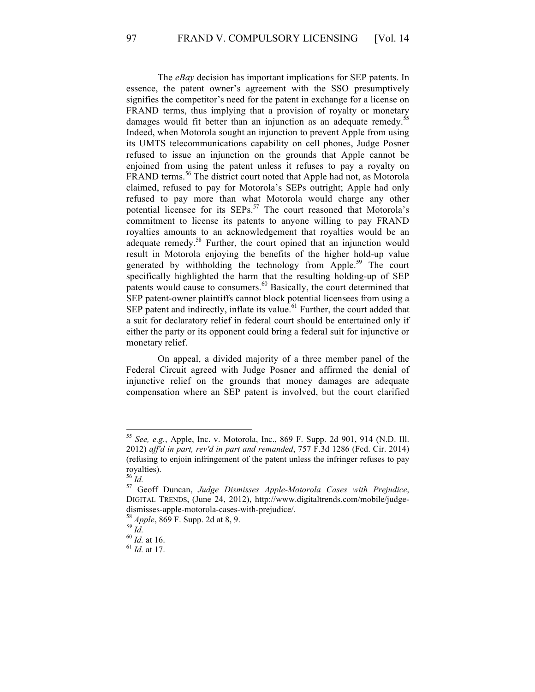The *eBay* decision has important implications for SEP patents. In essence, the patent owner's agreement with the SSO presumptively signifies the competitor's need for the patent in exchange for a license on FRAND terms, thus implying that a provision of royalty or monetary damages would fit better than an injunction as an adequate remedy.<sup>55</sup> Indeed, when Motorola sought an injunction to prevent Apple from using its UMTS telecommunications capability on cell phones, Judge Posner refused to issue an injunction on the grounds that Apple cannot be enjoined from using the patent unless it refuses to pay a royalty on FRAND terms.<sup>56</sup> The district court noted that Apple had not, as Motorola claimed, refused to pay for Motorola's SEPs outright; Apple had only refused to pay more than what Motorola would charge any other potential licensee for its SEPs.<sup>57</sup> The court reasoned that Motorola's commitment to license its patents to anyone willing to pay FRAND royalties amounts to an acknowledgement that royalties would be an adequate remedy.<sup>58</sup> Further, the court opined that an injunction would result in Motorola enjoying the benefits of the higher hold-up value generated by withholding the technology from Apple.<sup>59</sup> The court specifically highlighted the harm that the resulting holding-up of SEP patents would cause to consumers.<sup>60</sup> Basically, the court determined that SEP patent-owner plaintiffs cannot block potential licensees from using a SEP patent and indirectly, inflate its value. $61$  Further, the court added that a suit for declaratory relief in federal court should be entertained only if either the party or its opponent could bring a federal suit for injunctive or monetary relief.

On appeal, a divided majority of a three member panel of the Federal Circuit agreed with Judge Posner and affirmed the denial of injunctive relief on the grounds that money damages are adequate compensation where an SEP patent is involved, but the court clarified

 <sup>55</sup> *See, e.g.*, Apple, Inc. v. Motorola, Inc., 869 F. Supp. 2d 901, 914 (N.D. Ill. 2012) *aff'd in part, rev'd in part and remanded*, 757 F.3d 1286 (Fed. Cir. 2014) (refusing to enjoin infringement of the patent unless the infringer refuses to pay royalties).<br> $^{56}$  *Id.* 

<sup>56</sup> *Id.* <sup>57</sup> Geoff Duncan, *Judge Dismisses Apple-Motorola Cases with Prejudice*, DIGITAL TRENDS, (June 24, 2012), http://www.digitaltrends.com/mobile/judgedismisses-apple-motorola-cases-with-prejudice/.<br><sup>58</sup> *Apple*, 869 F. Supp. 2d at 8, 9.<br><sup>59</sup> *Id.* 60 *Id.* at 16. <sup>61</sup> *Id.* at 17.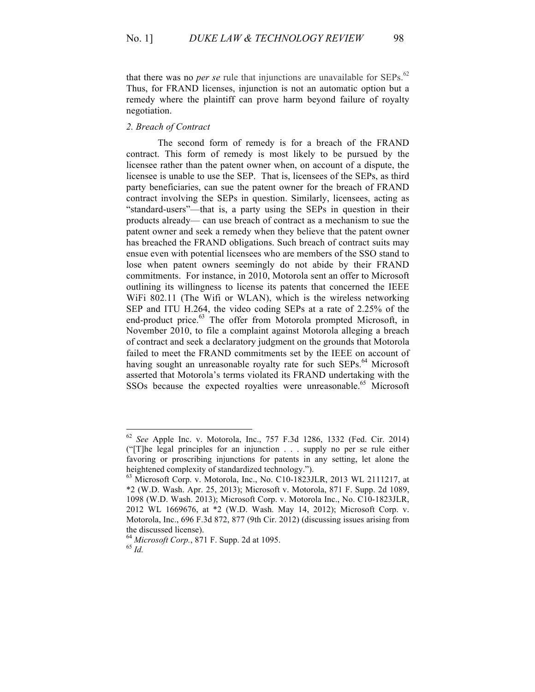that there was no *per se* rule that injunctions are unavailable for  $SEPs$ .<sup>62</sup> Thus, for FRAND licenses, injunction is not an automatic option but a remedy where the plaintiff can prove harm beyond failure of royalty negotiation.

#### *2. Breach of Contract*

The second form of remedy is for a breach of the FRAND contract. This form of remedy is most likely to be pursued by the licensee rather than the patent owner when, on account of a dispute, the licensee is unable to use the SEP. That is, licensees of the SEPs, as third party beneficiaries, can sue the patent owner for the breach of FRAND contract involving the SEPs in question. Similarly, licensees, acting as "standard-users"—that is, a party using the SEPs in question in their products already— can use breach of contract as a mechanism to sue the patent owner and seek a remedy when they believe that the patent owner has breached the FRAND obligations. Such breach of contract suits may ensue even with potential licensees who are members of the SSO stand to lose when patent owners seemingly do not abide by their FRAND commitments. For instance, in 2010, Motorola sent an offer to Microsoft outlining its willingness to license its patents that concerned the IEEE WiFi 802.11 (The Wifi or WLAN), which is the wireless networking SEP and ITU H.264, the video coding SEPs at a rate of 2.25% of the end-product price.<sup>63</sup> The offer from Motorola prompted Microsoft, in November 2010, to file a complaint against Motorola alleging a breach of contract and seek a declaratory judgment on the grounds that Motorola failed to meet the FRAND commitments set by the IEEE on account of having sought an unreasonable royalty rate for such  $SEPs$ <sup> $64$ </sup> Microsoft asserted that Motorola's terms violated its FRAND undertaking with the SSOs because the expected royalties were unreasonable.<sup>65</sup> Microsoft

 <sup>62</sup> *See* Apple Inc. v. Motorola, Inc., 757 F.3d 1286, 1332 (Fed. Cir. 2014) ("[T]he legal principles for an injunction . . . supply no per se rule either favoring or proscribing injunctions for patents in any setting, let alone the heightened complexity of standardized technology.").

 $^{63}$  Microsoft Corp. v. Motorola, Inc., No. C10-1823JLR, 2013 WL 2111217, at \*2 (W.D. Wash. Apr. 25, 2013); Microsoft v. Motorola, 871 F. Supp. 2d 1089, 1098 (W.D. Wash. 2013); Microsoft Corp. v. Motorola Inc., No. C10-1823JLR, 2012 WL 1669676, at \*2 (W.D. Wash. May 14, 2012); Microsoft Corp. v. Motorola, Inc., 696 F.3d 872, 877 (9th Cir. 2012) (discussing issues arising from the discussed license).

<sup>64</sup> *Microsoft Corp.*, 871 F. Supp. 2d at 1095. 65 *Id.*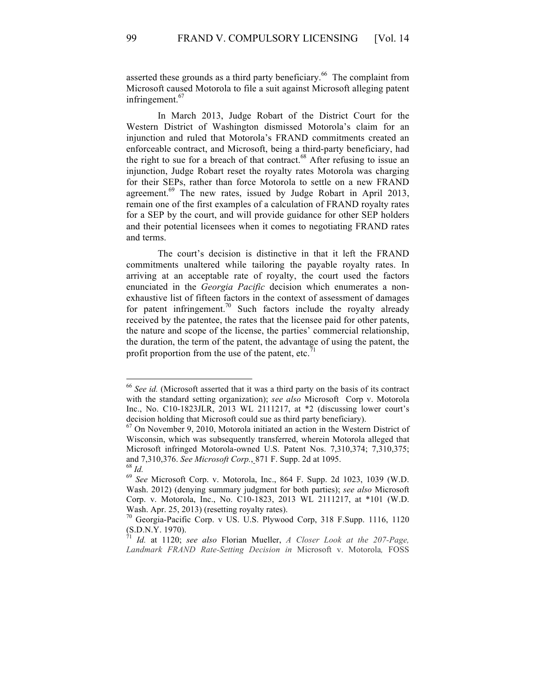asserted these grounds as a third party beneficiary.<sup>66</sup> The complaint from Microsoft caused Motorola to file a suit against Microsoft alleging patent infringement. $67$ 

In March 2013, Judge Robart of the District Court for the Western District of Washington dismissed Motorola's claim for an injunction and ruled that Motorola's FRAND commitments created an enforceable contract, and Microsoft, being a third-party beneficiary, had the right to sue for a breach of that contract. $68$  After refusing to issue an injunction, Judge Robart reset the royalty rates Motorola was charging for their SEPs, rather than force Motorola to settle on a new FRAND agreement.<sup>69</sup> The new rates, issued by Judge Robart in April 2013, remain one of the first examples of a calculation of FRAND royalty rates for a SEP by the court, and will provide guidance for other SEP holders and their potential licensees when it comes to negotiating FRAND rates and terms.

The court's decision is distinctive in that it left the FRAND commitments unaltered while tailoring the payable royalty rates. In arriving at an acceptable rate of royalty, the court used the factors enunciated in the *Georgia Pacific* decision which enumerates a nonexhaustive list of fifteen factors in the context of assessment of damages for patent infringement.<sup>70</sup> Such factors include the royalty already received by the patentee, the rates that the licensee paid for other patents, the nature and scope of the license, the parties' commercial relationship, the duration, the term of the patent, the advantage of using the patent, the profit proportion from the use of the patent, etc. $71$ 

 <sup>66</sup> *See id.* (Microsoft asserted that it was a third party on the basis of its contract with the standard setting organization); *see also* Microsoft Corp v. Motorola Inc., No. C10-1823JLR, 2013 WL 2111217, at \*2 (discussing lower court's decision holding that Microsoft could sue as third party beneficiary).

<sup>67</sup> On November 9, 2010, Motorola initiated an action in the Western District of Wisconsin, which was subsequently transferred, wherein Motorola alleged that Microsoft infringed Motorola-owned U.S. Patent Nos. 7,310,374; 7,310,375; and 7,310,376. *See Microsoft Corp.*, 871 F. Supp. 2d at 1095.<br><sup>68</sup> *Id.* 69 *See* Microsoft Corp. v. Motorola, Inc., 864 F. Supp. 2d 1023, 1039 (W.D.

Wash. 2012) (denying summary judgment for both parties); *see also* Microsoft Corp. v. Motorola, Inc., No. C10-1823, 2013 WL 2111217, at \*101 (W.D.

Wash. Apr. 25, 2013) (resetting royalty rates).<br><sup>70</sup> Georgia-Pacific Corp. v US. U.S. Plywood Corp, 318 F.Supp. 1116, 1120  $\frac{6.4 \text{ a}}{5.0 \text{ N} \cdot \text{N}}$ <br>(S.D.N.Y. 1970).

<sup>71</sup> *Id.* at 1120; *see also* Florian Mueller, *A Closer Look at the 207-Page, Landmark FRAND Rate-Setting Decision in* Microsoft v. Motorola*,* FOSS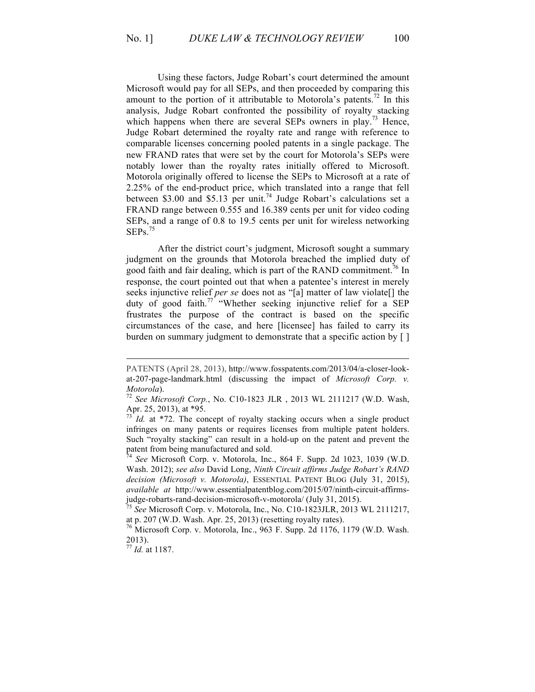Using these factors, Judge Robart's court determined the amount Microsoft would pay for all SEPs, and then proceeded by comparing this amount to the portion of it attributable to Motorola's patents.<sup>72</sup> In this analysis, Judge Robart confronted the possibility of royalty stacking which happens when there are several SEPs owners in play.<sup>73</sup> Hence, Judge Robart determined the royalty rate and range with reference to comparable licenses concerning pooled patents in a single package. The new FRAND rates that were set by the court for Motorola's SEPs were notably lower than the royalty rates initially offered to Microsoft. Motorola originally offered to license the SEPs to Microsoft at a rate of 2.25% of the end-product price, which translated into a range that fell between \$3.00 and \$5.13 per unit.<sup>74</sup> Judge Robart's calculations set a FRAND range between 0.555 and 16.389 cents per unit for video coding SEPs, and a range of 0.8 to 19.5 cents per unit for wireless networking  $SEPs.<sup>75</sup>$ 

After the district court's judgment, Microsoft sought a summary judgment on the grounds that Motorola breached the implied duty of good faith and fair dealing, which is part of the RAND commitment.<sup>76</sup> In response, the court pointed out that when a patentee's interest in merely seeks injunctive relief *per se* does not as "[a] matter of law violate[] the duty of good faith.<sup>77</sup> "Whether seeking injunctive relief for a SEP frustrates the purpose of the contract is based on the specific circumstances of the case, and here [licensee] has failed to carry its burden on summary judgment to demonstrate that a specific action by [ ]

PATENTS (April 28, 2013), http://www.fosspatents.com/2013/04/a-closer-lookat-207-page-landmark.html (discussing the impact of *Microsoft Corp. v. Motorola*). <sup>72</sup> *See Microsoft Corp.*, No. C10-1823 JLR , 2013 WL 2111217 (W.D. Wash,

Apr. 25, 2013), at \*95.

*Id.* at \*72. The concept of royalty stacking occurs when a single product infringes on many patents or requires licenses from multiple patent holders. Such "royalty stacking" can result in a hold-up on the patent and prevent the patent from being manufactured and sold.<br><sup>74</sup> *See* Microsoft Corp. v. Motorola, Inc., 864 F. Supp. 2d 1023, 1039 (W.D.

Wash. 2012); *see also* David Long, *Ninth Circuit affirms Judge Robart's RAND decision (Microsoft v. Motorola)*, ESSENTIAL PATENT BLOG (July 31, 2015), *available at* http://www.essentialpatentblog.com/2015/07/ninth-circuit-affirmsjudge-robarts-rand-decision-microsoft-v-motorola/ (July 31, 2015). <sup>75</sup> *See* Microsoft Corp. v. Motorola, Inc., No. C10-1823JLR, 2013 WL 2111217,

at p. 207 (W.D. Wash. Apr. 25, 2013) (resetting royalty rates).

 $^{76}$  Microsoft Corp. v. Motorola, Inc., 963 F. Supp. 2d 1176, 1179 (W.D. Wash. 2013).

<sup>77</sup> *Id.* at 1187.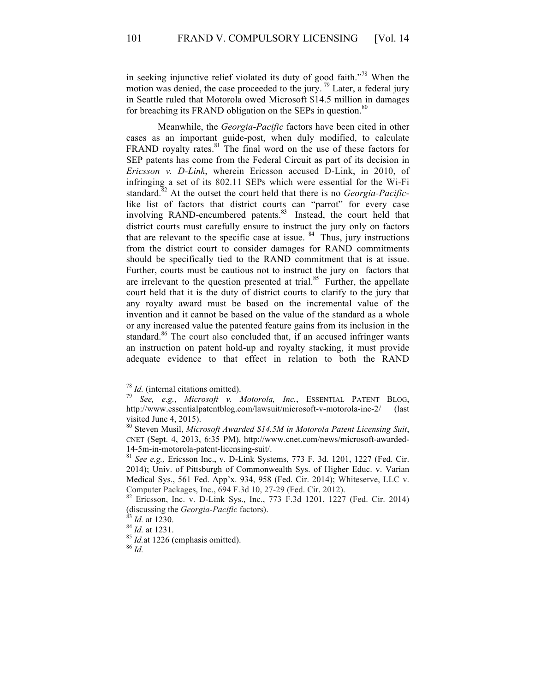in seeking injunctive relief violated its duty of good faith."<sup>78</sup> When the motion was denied, the case proceeded to the jury.<sup>79</sup> Later, a federal jury in Seattle ruled that Motorola owed Microsoft \$14.5 million in damages for breaching its FRAND obligation on the SEPs in question.<sup>80</sup>

Meanwhile, the *Georgia-Pacific* factors have been cited in other cases as an important guide-post, when duly modified, to calculate FRAND royalty rates.<sup>81</sup> The final word on the use of these factors for SEP patents has come from the Federal Circuit as part of its decision in *Ericsson v. D-Link*, wherein Ericsson accused D-Link, in 2010, of infringing a set of its 802.11 SEPs which were essential for the Wi-Fi standard.<sup>82</sup> At the outset the court held that there is no *Georgia-Pacific*like list of factors that district courts can "parrot" for every case involving RAND-encumbered patents.<sup>83</sup> Instead, the court held that district courts must carefully ensure to instruct the jury only on factors that are relevant to the specific case at issue.  $84$  Thus, jury instructions from the district court to consider damages for RAND commitments should be specifically tied to the RAND commitment that is at issue. Further, courts must be cautious not to instruct the jury on factors that are irrelevant to the question presented at trial. $85$  Further, the appellate court held that it is the duty of district courts to clarify to the jury that any royalty award must be based on the incremental value of the invention and it cannot be based on the value of the standard as a whole or any increased value the patented feature gains from its inclusion in the standard.<sup>86</sup> The court also concluded that, if an accused infringer wants an instruction on patent hold-up and royalty stacking, it must provide adequate evidence to that effect in relation to both the RAND

<sup>78</sup> *Id.* (internal citations omitted). <sup>79</sup> *See, e.g.*, *Microsoft v. Motorola, Inc.*, ESSENTIAL PATENT BLOG, http://www.essentialpatentblog.com/lawsuit/microsoft-v-motorola-inc-2/ (last visited June 4, 2015).

<sup>80</sup> Steven Musil, *Microsoft Awarded \$14.5M in Motorola Patent Licensing Suit*, CNET (Sept. 4, 2013, 6:35 PM), http://www.cnet.com/news/microsoft-awarded-14-5m-in-motorola-patent-licensing-suit/. 81 *See e.g.,* Ericsson Inc., v. D-Link Systems, 773 F. 3d. 1201, 1227 (Fed. Cir.

<sup>2014);</sup> Univ. of Pittsburgh of Commonwealth Sys. of Higher Educ. v. Varian Medical Sys., 561 Fed. App'x. 934, 958 (Fed. Cir. 2014); Whiteserve, LLC v.

Computer Packages, Inc., 694 F.3d 10, 27-29 (Fed. Cir. 2012).<br><sup>82</sup> Ericsson, Inc. v. D-Link Sys., Inc., 773 F.3d 1201, 1227 (Fed. Cir. 2014)<br>(discussing the *Georgia-Pacific* factors).

<sup>&</sup>lt;sup>83</sup> *Id.* at 1230.<br><sup>84</sup> *Id.* at 1231.<br><sup>85</sup> *Id.*at 1226 (emphasis omitted). 86 *Id.*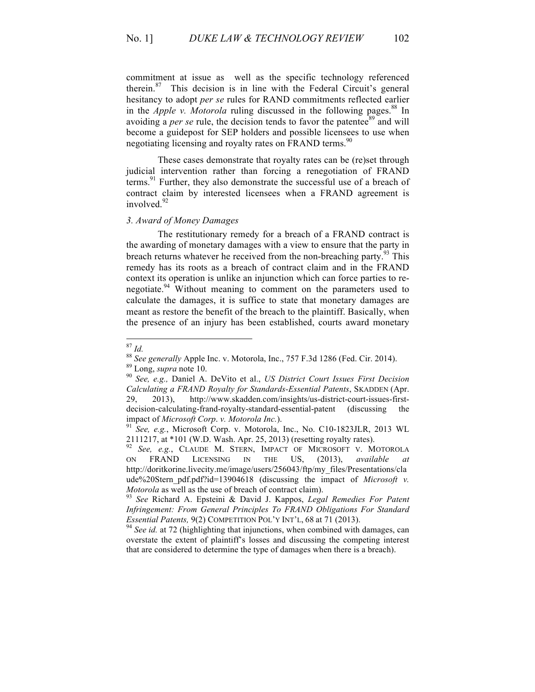commitment at issue as well as the specific technology referenced therein. $87$  This decision is in line with the Federal Circuit's general hesitancy to adopt *per se* rules for RAND commitments reflected earlier in the *Apple v. Motorola* ruling discussed in the following pages. <sup>88</sup> In avoiding a *per se* rule, the decision tends to favor the patentee<sup>89</sup> and will become a guidepost for SEP holders and possible licensees to use when negotiating licensing and royalty rates on FRAND terms.<sup>90</sup>

These cases demonstrate that royalty rates can be (re)set through judicial intervention rather than forcing a renegotiation of FRAND terms.<sup>91</sup> Further, they also demonstrate the successful use of a breach of contract claim by interested licensees when a FRAND agreement is involved $^{92}$ 

#### *3. Award of Money Damages*

The restitutionary remedy for a breach of a FRAND contract is the awarding of monetary damages with a view to ensure that the party in breach returns whatever he received from the non-breaching party.<sup>93</sup> This remedy has its roots as a breach of contract claim and in the FRAND context its operation is unlike an injunction which can force parties to renegotiate.<sup>94</sup> Without meaning to comment on the parameters used to calculate the damages, it is suffice to state that monetary damages are meant as restore the benefit of the breach to the plaintiff. Basically, when the presence of an injury has been established, courts award monetary

<sup>87</sup> *Id.* <sup>88</sup> *See generally* Apple Inc. v. Motorola, Inc., 757 F.3d 1286 (Fed. Cir. 2014). <sup>89</sup> Long, *supra* note 10. 90 *See, e.g.,* Daniel A. DeVito et al., *US District Court Issues First Decision* 

*Calculating a FRAND Royalty for Standards-Essential Patents*, SKADDEN (Apr. 29, 2013), http://www.skadden.com/insights/us-district-court-issues-firstdecision-calculating-frand-royalty-standard-essential-patent (discussing the impact of *Microsoft Corp*. *v. Motorola Inc.*). <sup>91</sup> *See, e.g.*, Microsoft Corp. v. Motorola, Inc., No. C10-1823JLR, 2013 WL

<sup>2111217,</sup> at \*101 (W.D. Wash. Apr. 25, 2013) (resetting royalty rates).<br><sup>92</sup> See e.g. CLAUDE M. STERN, IMPACT OF MICROSOFT V. M.

See, e.g., CLAUDE M. STERN, IMPACT OF MICROSOFT V. MOTOROLA ON FRAND LICENSING IN THE US, (2013), *available at*  http://doritkorine.livecity.me/image/users/256043/ftp/my\_files/Presentations/cla ude%20Stern pdf.pdf?id=13904618 (discussing the impact of *Microsoft v. Motorola* as well as the use of breach of contract claim).<br><sup>93</sup> *See* Richard A. Epsteini & David J. Kappos, *Legal Remedies For Patent* 

*Infringement: From General Principles To FRAND Obligations For Standard Essential Patents, 9(2) COMPETITION POL'Y INT'L, 68 at 71 (2013).* <sup>94</sup> *See id. at 72 (highlighting that injunctions, when combined with damages, can* 

overstate the extent of plaintiff's losses and discussing the competing interest that are considered to determine the type of damages when there is a breach).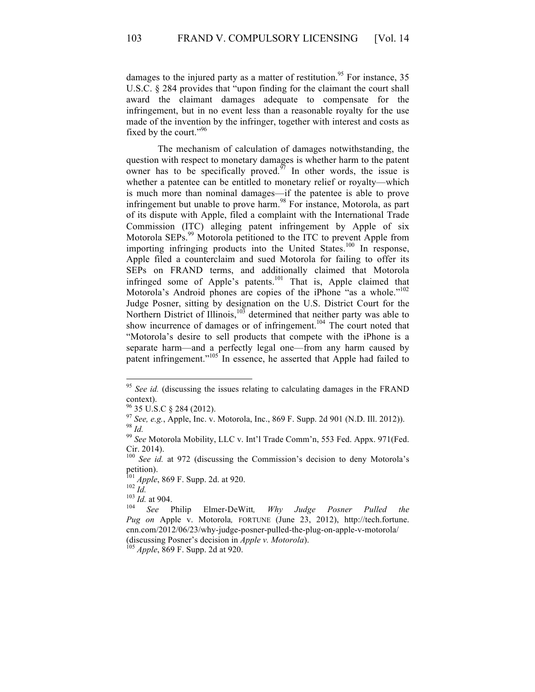damages to the injured party as a matter of restitution.<sup>95</sup> For instance, 35 U.S.C. § 284 provides that "upon finding for the claimant the court shall award the claimant damages adequate to compensate for the infringement, but in no event less than a reasonable royalty for the use made of the invention by the infringer, together with interest and costs as fixed by the court."<sup>96</sup>

The mechanism of calculation of damages notwithstanding, the question with respect to monetary damages is whether harm to the patent owner has to be specifically proved.<sup> $\frac{5}{7}$ </sup> In other words, the issue is whether a patentee can be entitled to monetary relief or royalty—which is much more than nominal damages—if the patentee is able to prove infringement but unable to prove harm.<sup>98</sup> For instance, Motorola, as part of its dispute with Apple, filed a complaint with the International Trade Commission (ITC) alleging patent infringement by Apple of six Motorola SEPs.<sup>99</sup> Motorola petitioned to the ITC to prevent Apple from importing infringing products into the United States.<sup>100</sup> In response, Apple filed a counterclaim and sued Motorola for failing to offer its SEPs on FRAND terms, and additionally claimed that Motorola infringed some of Apple's patents.<sup>101</sup> That is, Apple claimed that Motorola's Android phones are copies of the iPhone "as a whole."<sup>102</sup> Judge Posner, sitting by designation on the U.S. District Court for the Northern District of Illinois, $103$  determined that neither party was able to show incurrence of damages or of infringement.<sup>104</sup> The court noted that "Motorola's desire to sell products that compete with the iPhone is a separate harm—and a perfectly legal one—from any harm caused by patent infringement."<sup>105</sup> In essence, he asserted that Apple had failed to

<sup>&</sup>lt;sup>95</sup> See id. (discussing the issues relating to calculating damages in the FRAND context).

<sup>&</sup>lt;sup>96</sup> 35 U.S.C § 284 (2012).<br><sup>97</sup> *See, e.g.*, Apple, Inc. v. Motorola, Inc., 869 F. Supp. 2d 901 (N.D. Ill. 2012)).<br><sup>98</sup> *Id.* 99 *See* Motorola Mobility, LLC v. Int'l Trade Comm'n, 553 Fed. Appx. 971(Fed.

Cir. 2014).

<sup>&</sup>lt;sup>100</sup> See id. at 972 (discussing the Commission's decision to deny Motorola's petition).<br><sup>101</sup> *Apple*, 869 F. Supp. 2d. at 920.<br><sup>102</sup> *Id.* <sup>103</sup> *Id.* at 904.<br><sup>104</sup> *See* Philip Elmer-DeWitt, *Why Judge Posner Pulled the* 

*Pug on* Apple v. Motorola*,* FORTUNE (June 23, 2012), http://tech.fortune. cnn.com/2012/06/23/why-judge-posner-pulled-the-plug-on-apple-v-motorola/ (discussing Posner's decision in *Apple v. Motorola*). <sup>105</sup> *Apple*, 869 F. Supp. 2d at 920.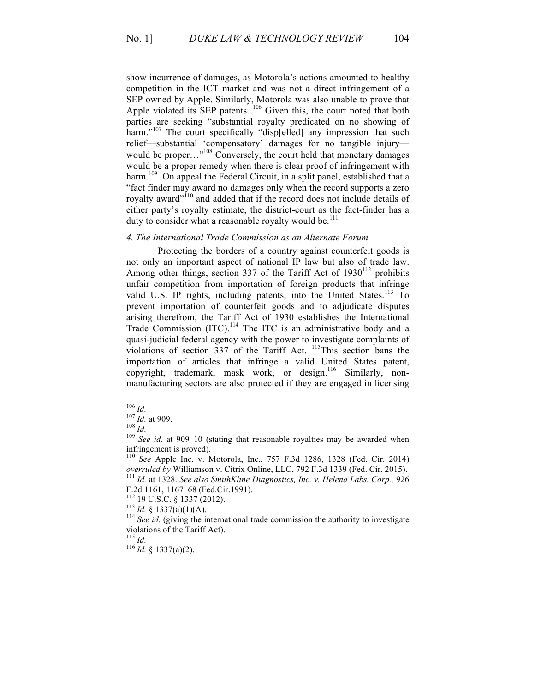show incurrence of damages, as Motorola's actions amounted to healthy competition in the ICT market and was not a direct infringement of a SEP owned by Apple. Similarly, Motorola was also unable to prove that Apple violated its SEP patents. <sup>106</sup> Given this, the court noted that both parties are seeking "substantial royalty predicated on no showing of harm."<sup>107</sup> The court specifically "disp[elled] any impression that such relief—substantial 'compensatory' damages for no tangible injury would be proper..."<sup>108</sup> Conversely, the court held that monetary damages would be a proper remedy when there is clear proof of infringement with harm.<sup>109</sup> On appeal the Federal Circuit, in a split panel, established that a "fact finder may award no damages only when the record supports a zero royalty award"<sup>110</sup> and added that if the record does not include details of either party's royalty estimate, the district-court as the fact-finder has a duty to consider what a reasonable royalty would be. $^{111}$ 

## *4. The International Trade Commission as an Alternate Forum*

Protecting the borders of a country against counterfeit goods is not only an important aspect of national IP law but also of trade law. Among other things, section 337 of the Tariff Act of  $1930^{112}$  prohibits unfair competition from importation of foreign products that infringe valid U.S. IP rights, including patents, into the United States.<sup>113</sup> To prevent importation of counterfeit goods and to adjudicate disputes arising therefrom, the Tariff Act of 1930 establishes the International Trade Commission (ITC).<sup>114</sup> The ITC is an administrative body and a quasi-judicial federal agency with the power to investigate complaints of violations of section 337 of the Tariff Act.  $^{115}$ This section bans the importation of articles that infringe a valid United States patent, copyright, trademark, mask work, or design.<sup>116</sup> Similarly, nonmanufacturing sectors are also protected if they are engaged in licensing

<sup>116</sup> *Id.* § 1337(a)(2).

<sup>106</sup> *Id.*<br><sup>107</sup> *Id.* at 909.<br><sup>108</sup> *Id.* 108 *Id.* at 909–10 (stating that reasonable royalties may be awarded when infringement is proved).

<sup>110</sup> *See* Apple Inc. v. Motorola, Inc., 757 F.3d 1286, 1328 (Fed. Cir. 2014) *overruled by* Williamson v. Citrix Online, LLC, 792 F.3d 1339 (Fed. Cir. 2015). <sup>111</sup> *Id.* at 1328. *See also SmithKline Diagnostics, Inc. v. Helena Labs. Corp.,* <sup>926</sup>

F.2d 1161, 1167–68 (Fed.Cir.1991).<br><sup>112</sup> 19 U.S.C. § 1337 (2012).<br><sup>113</sup> *Id.* § 1337(a)(1)(A).<br><sup>114</sup> *See id.* (giving the international trade commission the authority to investigate violations of the Tariff Act).<br> $^{115}$  *Id*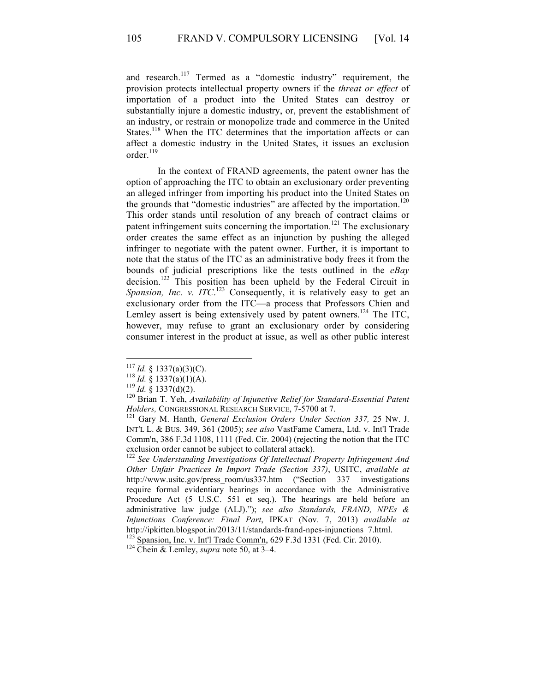and research.<sup>117</sup> Termed as a "domestic industry" requirement, the provision protects intellectual property owners if the *threat or effect* of importation of a product into the United States can destroy or substantially injure a domestic industry, or, prevent the establishment of an industry, or restrain or monopolize trade and commerce in the United States.<sup>118</sup> When the ITC determines that the importation affects or can affect a domestic industry in the United States, it issues an exclusion order.<sup>119</sup>

In the context of FRAND agreements, the patent owner has the option of approaching the ITC to obtain an exclusionary order preventing an alleged infringer from importing his product into the United States on the grounds that "domestic industries" are affected by the importation.<sup>120</sup> This order stands until resolution of any breach of contract claims or patent infringement suits concerning the importation.<sup>121</sup> The exclusionary order creates the same effect as an injunction by pushing the alleged infringer to negotiate with the patent owner. Further, it is important to note that the status of the ITC as an administrative body frees it from the bounds of judicial prescriptions like the tests outlined in the *eBay* decision.<sup>122</sup> This position has been upheld by the Federal Circuit in Spansion, Inc. v. *ITC*.<sup>123</sup> Consequently, it is relatively easy to get an exclusionary order from the ITC—a process that Professors Chien and Lemley assert is being extensively used by patent owners.<sup>124</sup> The ITC, however, may refuse to grant an exclusionary order by considering consumer interest in the product at issue, as well as other public interest

<sup>&</sup>lt;sup>117</sup> *Id.* § 1337(a)(3)(C).<br><sup>118</sup> *Id.* § 1337(a)(1)(A).<br><sup>119</sup> *Id.* § 1337(d)(2).<br><sup>120</sup> Brian T. Yeh, *Availability of Injunctive Relief for Standard-Essential Patent Holders,* CONGRESSIONAL RESEARCH SERVICE, 7-5700 at 7. <sup>121</sup> Gary M. Hanth, *General Exclusion Orders Under Section 337,* 25 NW. J.

INT'L L. & BUS. 349, 361 (2005); *see also* VastFame Camera, Ltd. v. Int'l Trade Comm'n, 386 F.3d 1108, 1111 (Fed. Cir. 2004) (rejecting the notion that the ITC exclusion order cannot be subject to collateral attack).

<sup>122</sup> *See Understanding Investigations Of Intellectual Property Infringement And Other Unfair Practices In Import Trade (Section 337)*, USITC, *available at* http://www.usitc.gov/press\_room/us337.htm ("Section 337 investigations require formal evidentiary hearings in accordance with the Administrative Procedure Act (5 U.S.C. 551 et seq.). The hearings are held before an administrative law judge (ALJ)."); *see also Standards, FRAND, NPEs & Injunctions Conference: Final Part*, IPKAT (Nov. 7, 2013) *available at*  http://ipkitten.blogspot.in/2013/11/standards-frand-npes-injunctions\_7.html. 123 Spansion, Inc. v. Int'l Trade Comm'n, 629 F.3d 1331 (Fed. Cir. 2010). 124 Chein & Lemley, *supra* note 50, at 3–4.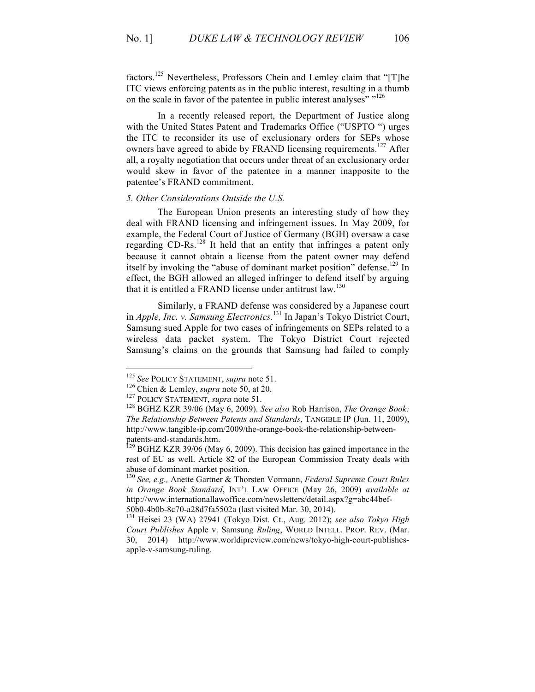factors.<sup>125</sup> Nevertheless, Professors Chein and Lemley claim that "[T]he ITC views enforcing patents as in the public interest, resulting in a thumb on the scale in favor of the patentee in public interest analyses" "<sup>126</sup>

In a recently released report, the Department of Justice along with the United States Patent and Trademarks Office ("USPTO ") urges the ITC to reconsider its use of exclusionary orders for SEPs whose owners have agreed to abide by FRAND licensing requirements.<sup>127</sup> After all, a royalty negotiation that occurs under threat of an exclusionary order would skew in favor of the patentee in a manner inapposite to the patentee's FRAND commitment.

#### *5. Other Considerations Outside the U.S.*

The European Union presents an interesting study of how they deal with FRAND licensing and infringement issues. In May 2009, for example, the Federal Court of Justice of Germany (BGH) oversaw a case regarding CD-Rs.<sup>128</sup> It held that an entity that infringes a patent only because it cannot obtain a license from the patent owner may defend itself by invoking the "abuse of dominant market position" defense.<sup>129</sup> In effect, the BGH allowed an alleged infringer to defend itself by arguing that it is entitled a FRAND license under antitrust law.<sup>130</sup>

Similarly, a FRAND defense was considered by a Japanese court in *Apple, Inc. v. Samsung Electronics*. <sup>131</sup> In Japan's Tokyo District Court, Samsung sued Apple for two cases of infringements on SEPs related to a wireless data packet system. The Tokyo District Court rejected Samsung's claims on the grounds that Samsung had failed to comply

<sup>&</sup>lt;sup>125</sup> See POLICY STATEMENT, *supra* note 51.<br><sup>126</sup> Chien & Lemley, *supra* note 50, at 20.<br><sup>127</sup> POLICY STATEMENT, *supra* note 51.<br><sup>128</sup> BGHZ KZR 39/06 (May 6, 2009). *See also* Rob Harrison, *The Orange Book*: *The Relationship Between Patents and Standards*, TANGIBLE IP (Jun. 11, 2009), http://www.tangible-ip.com/2009/the-orange-book-the-relationship-betweenpatents-and-standards.htm.<br><sup>129</sup> BGHZ KZR 39/06 (May 6, 2009). This decision has gained importance in the

rest of EU as well. Article 82 of the European Commission Treaty deals with abuse of dominant market position.

<sup>130</sup> *See, e.g.,* Anette Gartner & Thorsten Vormann, *Federal Supreme Court Rules in Orange Book Standard*, INT'L LAW OFFICE (May 26, 2009) *available at*  http://www.internationallawoffice.com/newsletters/detail.aspx?g=abc44bef-

<sup>50</sup>b0-4b0b-8c70-a28d7fa5502a (last visited Mar. 30, 2014). 131 Heisei 23 (WA) 27941 (Tokyo Dist. Ct., Aug. 2012); *see also Tokyo High Court Publishes* Apple v. Samsung *Ruling*, WORLD INTELL. PROP. REV. (Mar. 30, 2014) http://www.worldipreview.com/news/tokyo-high-court-publishesapple-v-samsung-ruling.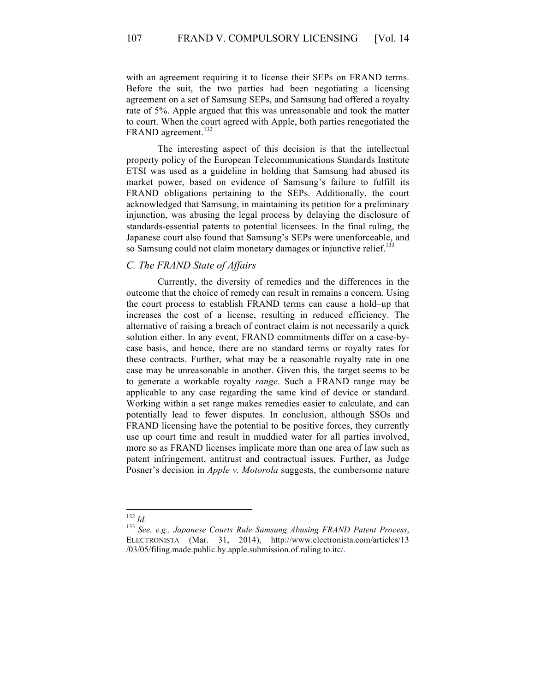107 FRAND V. COMPULSORY LICENSING [Vol. 14]

with an agreement requiring it to license their SEPs on FRAND terms. Before the suit, the two parties had been negotiating a licensing agreement on a set of Samsung SEPs, and Samsung had offered a royalty rate of 5%. Apple argued that this was unreasonable and took the matter to court. When the court agreed with Apple, both parties renegotiated the FRAND agreement.<sup>132</sup>

The interesting aspect of this decision is that the intellectual property policy of the European Telecommunications Standards Institute ETSI was used as a guideline in holding that Samsung had abused its market power, based on evidence of Samsung's failure to fulfill its FRAND obligations pertaining to the SEPs. Additionally, the court acknowledged that Samsung, in maintaining its petition for a preliminary injunction, was abusing the legal process by delaying the disclosure of standards-essential patents to potential licensees. In the final ruling, the Japanese court also found that Samsung's SEPs were unenforceable, and so Samsung could not claim monetary damages or injunctive relief.<sup>133</sup>

#### *C. The FRAND State of Affairs*

Currently, the diversity of remedies and the differences in the outcome that the choice of remedy can result in remains a concern. Using the court process to establish FRAND terms can cause a hold–up that increases the cost of a license, resulting in reduced efficiency. The alternative of raising a breach of contract claim is not necessarily a quick solution either. In any event, FRAND commitments differ on a case-bycase basis, and hence, there are no standard terms or royalty rates for these contracts. Further, what may be a reasonable royalty rate in one case may be unreasonable in another. Given this, the target seems to be to generate a workable royalty *range.* Such a FRAND range may be applicable to any case regarding the same kind of device or standard. Working within a set range makes remedies easier to calculate, and can potentially lead to fewer disputes. In conclusion, although SSOs and FRAND licensing have the potential to be positive forces, they currently use up court time and result in muddied water for all parties involved, more so as FRAND licenses implicate more than one area of law such as patent infringement, antitrust and contractual issues. Further, as Judge Posner's decision in *Apple v. Motorola* suggests, the cumbersome nature

<sup>132</sup> *Id.* <sup>133</sup> *See, e.g., Japanese Courts Rule Samsung Abusing FRAND Patent Process*, ELECTRONISTA (Mar. 31, 2014), http://www.electronista.com/articles/13 /03/05/filing.made.public.by.apple.submission.of.ruling.to.itc/.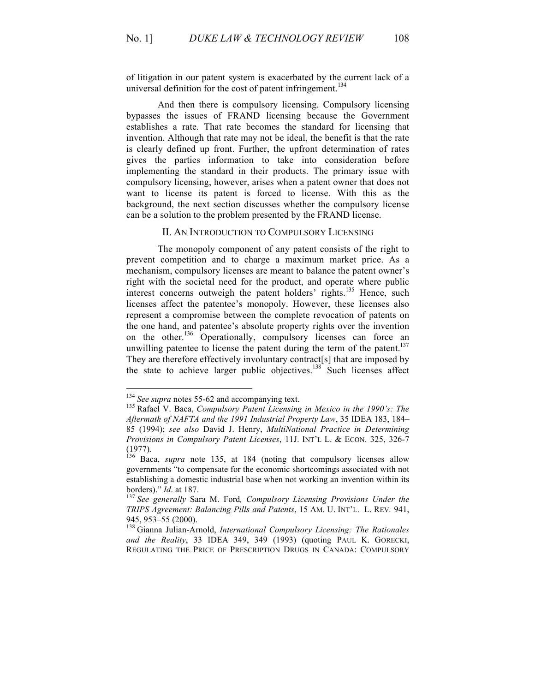of litigation in our patent system is exacerbated by the current lack of a universal definition for the cost of patent infringement.<sup>134</sup>

And then there is compulsory licensing. Compulsory licensing bypasses the issues of FRAND licensing because the Government establishes a rate*.* That rate becomes the standard for licensing that invention. Although that rate may not be ideal, the benefit is that the rate is clearly defined up front. Further, the upfront determination of rates gives the parties information to take into consideration before implementing the standard in their products. The primary issue with compulsory licensing, however, arises when a patent owner that does not want to license its patent is forced to license. With this as the background, the next section discusses whether the compulsory license can be a solution to the problem presented by the FRAND license.

## II. AN INTRODUCTION TO COMPULSORY LICENSING

The monopoly component of any patent consists of the right to prevent competition and to charge a maximum market price. As a mechanism, compulsory licenses are meant to balance the patent owner's right with the societal need for the product, and operate where public interest concerns outweigh the patent holders' rights.<sup>135</sup> Hence, such licenses affect the patentee's monopoly. However, these licenses also represent a compromise between the complete revocation of patents on the one hand, and patentee's absolute property rights over the invention on the other. <sup>136</sup> Operationally, compulsory licenses can force an unwilling patentee to license the patent during the term of the patent.<sup>137</sup> They are therefore effectively involuntary contract[s] that are imposed by the state to achieve larger public objectives.<sup>138</sup> Such licenses affect

<sup>&</sup>lt;sup>134</sup> *See supra* notes 55-62 and accompanying text.<br><sup>135</sup> Rafael V. Baca, *Compulsory Patent Licensing in Mexico in the 1990's: The Aftermath of NAFTA and the 1991 Industrial Property Law*, 35 IDEA 183, 184– 85 (1994); *see also* David J. Henry, *MultiNational Practice in Determining Provisions in Compulsory Patent Licenses*, 11J. INT'L L. & ECON. 325, 326-7 (1977).

<sup>136</sup> Baca, *supra* note 135, at 184 (noting that compulsory licenses allow governments "to compensate for the economic shortcomings associated with not establishing a domestic industrial base when not working an invention within its borders)."  $Id$  at 187.

<sup>&</sup>lt;sup>137</sup> See generally Sara M. Ford, Compulsory Licensing Provisions Under the *TRIPS Agreement: Balancing Pills and Patents*, 15 AM. U. INT'L. L. REV*.* 941, 945, 953–55 (2000).<br><sup>138</sup> Gianna Julian-Arnold, *International Compulsory Licensing: The Rationales* 

*and the Reality*, 33 IDEA 349, 349 (1993) (quoting PAUL K. GORECKI, REGULATING THE PRICE OF PRESCRIPTION DRUGS IN CANADA: COMPULSORY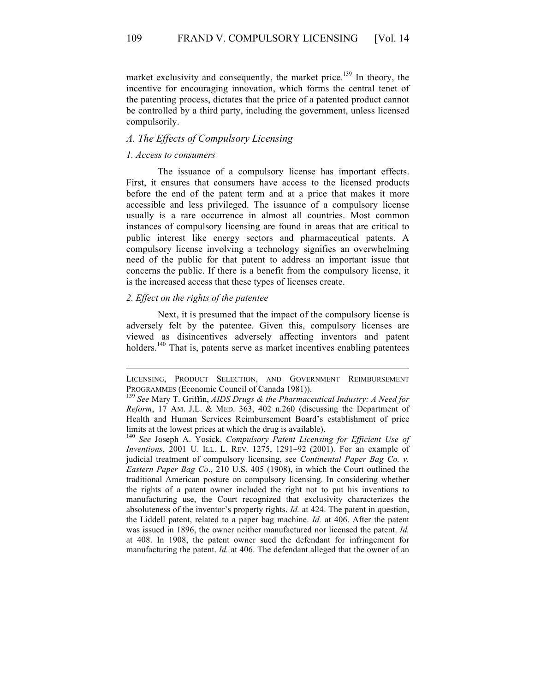market exclusivity and consequently, the market price.<sup>139</sup> In theory, the incentive for encouraging innovation, which forms the central tenet of the patenting process, dictates that the price of a patented product cannot be controlled by a third party, including the government, unless licensed compulsorily.

#### *A. The Effects of Compulsory Licensing*

#### *1. Access to consumers*

The issuance of a compulsory license has important effects. First, it ensures that consumers have access to the licensed products before the end of the patent term and at a price that makes it more accessible and less privileged. The issuance of a compulsory license usually is a rare occurrence in almost all countries. Most common instances of compulsory licensing are found in areas that are critical to public interest like energy sectors and pharmaceutical patents. A compulsory license involving a technology signifies an overwhelming need of the public for that patent to address an important issue that concerns the public. If there is a benefit from the compulsory license, it is the increased access that these types of licenses create.

## *2. Effect on the rights of the patentee*

Next, it is presumed that the impact of the compulsory license is adversely felt by the patentee. Given this, compulsory licenses are viewed as disincentives adversely affecting inventors and patent holders.<sup>140</sup> That is, patents serve as market incentives enabling patentees

LICENSING, PRODUCT SELECTION, AND GOVERNMENT REIMBURSEMENT PROGRAMMES (Economic Council of Canada 1981)).<br><sup>139</sup> *See* Mary T. Griffin, *AIDS Drugs & the Pharmaceutical Industry: A Need for* 

*Reform*, 17 AM. J.L. & MED. 363, 402 n.260 (discussing the Department of Health and Human Services Reimbursement Board's establishment of price limits at the lowest prices at which the drug is available).

<sup>140</sup> *See* Joseph A. Yosick, *Compulsory Patent Licensing for Efficient Use of Inventions*, 2001 U. ILL. L. REV. 1275, 1291–92 (2001). For an example of judicial treatment of compulsory licensing, see *Continental Paper Bag Co. v. Eastern Paper Bag Co*., 210 U.S. 405 (1908), in which the Court outlined the traditional American posture on compulsory licensing. In considering whether the rights of a patent owner included the right not to put his inventions to manufacturing use, the Court recognized that exclusivity characterizes the absoluteness of the inventor's property rights. *Id.* at 424. The patent in question, the Liddell patent, related to a paper bag machine. *Id.* at 406. After the patent was issued in 1896, the owner neither manufactured nor licensed the patent. *Id.* at 408. In 1908, the patent owner sued the defendant for infringement for manufacturing the patent. *Id.* at 406. The defendant alleged that the owner of an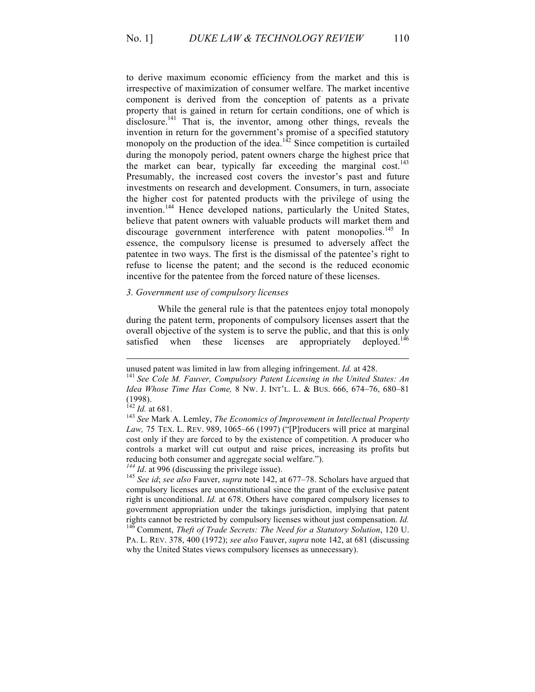to derive maximum economic efficiency from the market and this is irrespective of maximization of consumer welfare. The market incentive component is derived from the conception of patents as a private property that is gained in return for certain conditions, one of which is disclosure.<sup>141</sup> That is, the inventor, among other things, reveals the invention in return for the government's promise of a specified statutory monopoly on the production of the idea. $142$  Since competition is curtailed during the monopoly period, patent owners charge the highest price that the market can bear, typically far exceeding the marginal cost.<sup>143</sup> Presumably, the increased cost covers the investor's past and future investments on research and development. Consumers, in turn, associate the higher cost for patented products with the privilege of using the invention.<sup>144</sup> Hence developed nations, particularly the United States, believe that patent owners with valuable products will market them and discourage government interference with patent monopolies.<sup>145</sup> In essence, the compulsory license is presumed to adversely affect the patentee in two ways. The first is the dismissal of the patentee's right to refuse to license the patent; and the second is the reduced economic incentive for the patentee from the forced nature of these licenses.

#### *3. Government use of compulsory licenses*

While the general rule is that the patentees enjoy total monopoly during the patent term, proponents of compulsory licenses assert that the overall objective of the system is to serve the public, and that this is only satisfied when these licenses are appropriately deploved.<sup>146</sup> satisfied when these licenses are appropriately

unused patent was limited in law from alleging infringement. *Id.* at 428.<br><sup>141</sup> See Cole M. Fauver, Compulsory Patent Licensing in the United States: An *Idea Whose Time Has Come,* 8 NW. J. INT'L. L. & BUS. 666, 674–76, 680–81  $(1998)$ .<br><sup>142</sup> *Id.* at 681.

<sup>&</sup>lt;sup>143</sup> See Mark A. Lemley, *The Economics of Improvement in Intellectual Property Law,* 75 TEX. L. REV. 989, 1065–66 (1997) ("[P]roducers will price at marginal cost only if they are forced to by the existence of competition. A producer who controls a market will cut output and raise prices, increasing its profits but reducing both consumer and aggregate social welfare.").  $^{144}$  *Id.* at 996 (discussing the privilege issue).

<sup>&</sup>lt;sup>145</sup> *See id*; *see also Fauver, <i>supra* note 142, at 677–78. Scholars have argued that compulsory licenses are unconstitutional since the grant of the exclusive patent right is unconditional. *Id.* at 678. Others have compared compulsory licenses to government appropriation under the takings jurisdiction, implying that patent rights cannot be restricted by compulsory licenses without just compensation. *Id.* <sup>146</sup> Comment, *Theft of Trade Secrets: The Need for a Statutory Solution*, 120 U. PA. L. REV. 378, 400 (1972); *see also* Fauver, *supra* note 142, at 681 (discussing why the United States views compulsory licenses as unnecessary).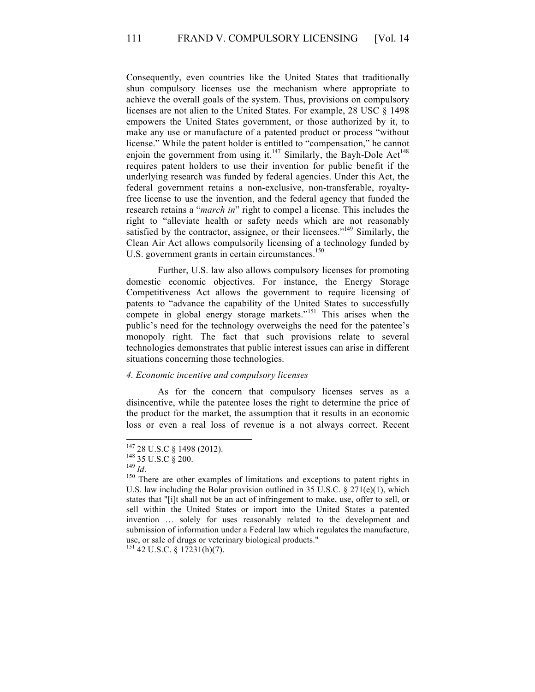Consequently, even countries like the United States that traditionally shun compulsory licenses use the mechanism where appropriate to achieve the overall goals of the system. Thus, provisions on compulsory licenses are not alien to the United States. For example, 28 USC § 1498 empowers the United States government, or those authorized by it, to make any use or manufacture of a patented product or process "without license." While the patent holder is entitled to "compensation," he cannot enjoin the government from using it.<sup>147</sup> Similarly, the Bayh-Dole Act<sup>148</sup> requires patent holders to use their invention for public benefit if the underlying research was funded by federal agencies. Under this Act, the federal government retains a non-exclusive, non-transferable, royaltyfree license to use the invention, and the federal agency that funded the research retains a "*march in*" right to compel a license. This includes the right to "alleviate health or safety needs which are not reasonably satisfied by the contractor, assignee, or their licensees."<sup>149</sup> Similarly, the Clean Air Act allows compulsorily licensing of a technology funded by U.S. government grants in certain circumstances.<sup>150</sup>

Further, U.S. law also allows compulsory licenses for promoting domestic economic objectives. For instance, the Energy Storage Competitiveness Act allows the government to require licensing of patents to "advance the capability of the United States to successfully compete in global energy storage markets."<sup>151</sup> This arises when the public's need for the technology overweighs the need for the patentee's monopoly right. The fact that such provisions relate to several technologies demonstrates that public interest issues can arise in different situations concerning those technologies.

### *4. Economic incentive and compulsory licenses*

As for the concern that compulsory licenses serves as a disincentive, while the patentee loses the right to determine the price of the product for the market, the assumption that it results in an economic loss or even a real loss of revenue is a not always correct. Recent

<sup>147 28</sup> U.S.C § 1498 (2012).<br><sup>148</sup> 35 U.S.C § 200.<br><sup>149</sup> *Id*. 150 There are other examples of limitations and exceptions to patent rights in U.S. law including the Bolar provision outlined in 35 U.S.C. § 271(e)(1), which states that "[i]t shall not be an act of infringement to make, use, offer to sell, or sell within the United States or import into the United States a patented invention … solely for uses reasonably related to the development and submission of information under a Federal law which regulates the manufacture, use, or sale of drugs or veterinary biological products."<br> $151\,42\,$  U.S.C. § 17231(h)(7).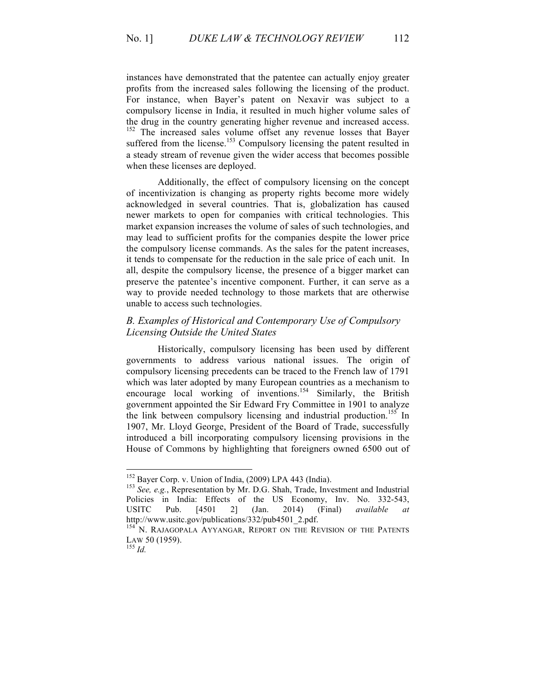instances have demonstrated that the patentee can actually enjoy greater profits from the increased sales following the licensing of the product. For instance, when Bayer's patent on Nexavir was subject to a compulsory license in India, it resulted in much higher volume sales of the drug in the country generating higher revenue and increased access. <sup>152</sup> The increased sales volume offset any revenue losses that Bayer suffered from the license.<sup>153</sup> Compulsory licensing the patent resulted in a steady stream of revenue given the wider access that becomes possible when these licenses are deployed.

Additionally, the effect of compulsory licensing on the concept of incentivization is changing as property rights become more widely acknowledged in several countries. That is, globalization has caused newer markets to open for companies with critical technologies. This market expansion increases the volume of sales of such technologies, and may lead to sufficient profits for the companies despite the lower price the compulsory license commands. As the sales for the patent increases, it tends to compensate for the reduction in the sale price of each unit. In all, despite the compulsory license, the presence of a bigger market can preserve the patentee's incentive component. Further, it can serve as a way to provide needed technology to those markets that are otherwise unable to access such technologies.

## *B. Examples of Historical and Contemporary Use of Compulsory Licensing Outside the United States*

Historically, compulsory licensing has been used by different governments to address various national issues. The origin of compulsory licensing precedents can be traced to the French law of 1791 which was later adopted by many European countries as a mechanism to encourage local working of inventions.<sup>154</sup> Similarly, the British government appointed the Sir Edward Fry Committee in 1901 to analyze the link between compulsory licensing and industrial production.<sup>155</sup> In 1907, Mr. Lloyd George, President of the Board of Trade, successfully introduced a bill incorporating compulsory licensing provisions in the House of Commons by highlighting that foreigners owned 6500 out of

<sup>&</sup>lt;sup>152</sup> Bayer Corp. v. Union of India, (2009) LPA 443 (India).<br><sup>153</sup> *See, e.g.*, Representation by Mr. D.G. Shah, Trade, Investment and Industrial Policies in India: Effects of the US Economy, Inv. No. 332-543, USITC Pub. [4501 2] (Jan. 2014) (Final) *available at*  http://www.usitc.gov/publications/332/pub4501\_2.pdf.

<sup>&</sup>lt;sup>154</sup> N. RAJAGOPALA AYYANGAR, REPORT ON THE REVISION OF THE PATENTS LAW 50 (1959). <sup>155</sup> *Id.*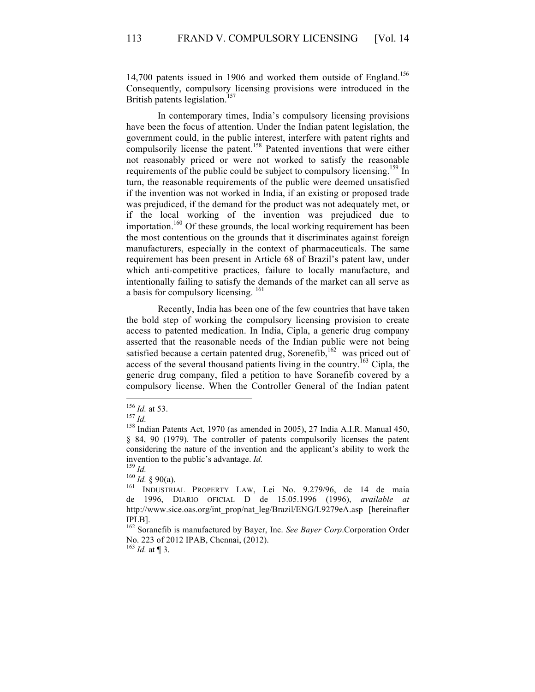14,700 patents issued in 1906 and worked them outside of England.<sup>156</sup> Consequently, compulsory licensing provisions were introduced in the British patents legislation.<sup>157</sup>

In contemporary times, India's compulsory licensing provisions have been the focus of attention. Under the Indian patent legislation, the government could, in the public interest, interfere with patent rights and compulsorily license the patent.<sup>158</sup> Patented inventions that were either not reasonably priced or were not worked to satisfy the reasonable requirements of the public could be subject to compulsory licensing.<sup>159</sup> In turn, the reasonable requirements of the public were deemed unsatisfied if the invention was not worked in India, if an existing or proposed trade was prejudiced, if the demand for the product was not adequately met, or if the local working of the invention was prejudiced due to importation.<sup>160</sup> Of these grounds, the local working requirement has been the most contentious on the grounds that it discriminates against foreign manufacturers, especially in the context of pharmaceuticals. The same requirement has been present in Article 68 of Brazil's patent law, under which anti-competitive practices, failure to locally manufacture, and intentionally failing to satisfy the demands of the market can all serve as a basis for compulsory licensing. <sup>161</sup>

Recently, India has been one of the few countries that have taken the bold step of working the compulsory licensing provision to create access to patented medication. In India, Cipla, a generic drug company asserted that the reasonable needs of the Indian public were not being satisfied because a certain patented drug, Sorenefib,<sup>162</sup> was priced out of access of the several thousand patients living in the country.<sup>163</sup> Cipla, the generic drug company, filed a petition to have Soranefib covered by a compulsory license. When the Controller General of the Indian patent

 $\frac{163}{163}$  *Id.* at ¶ 3.

<sup>&</sup>lt;sup>156</sup> *Id.* at 53.<br><sup>157</sup> *Id.* 158 Indian Patents Act, 1970 (as amended in 2005), 27 India A.I.R. Manual 450, § 84, 90 (1979). The controller of patents compulsorily licenses the patent considering the nature of the invention and the applicant's ability to work the

invention to the public's advantage. *Id.*<br><sup>159</sup> *Id.* (*Id.* § 90(a).<br><sup>161</sup> INDUSTRIAL PROPERTY LAW, Lei No. 9.279/96, de 14 de maia de 1996, DIARIO OFICIAL D de 15.05.1996 (1996), *available at*  http://www.sice.oas.org/int\_prop/nat\_leg/Brazil/ENG/L9279eA.asp [hereinafter IPLB].

<sup>162</sup> Soranefib is manufactured by Bayer, Inc. *See Bayer Corp*.Corporation Order No. 223 of 2012 IPAB, Chennai, (2012).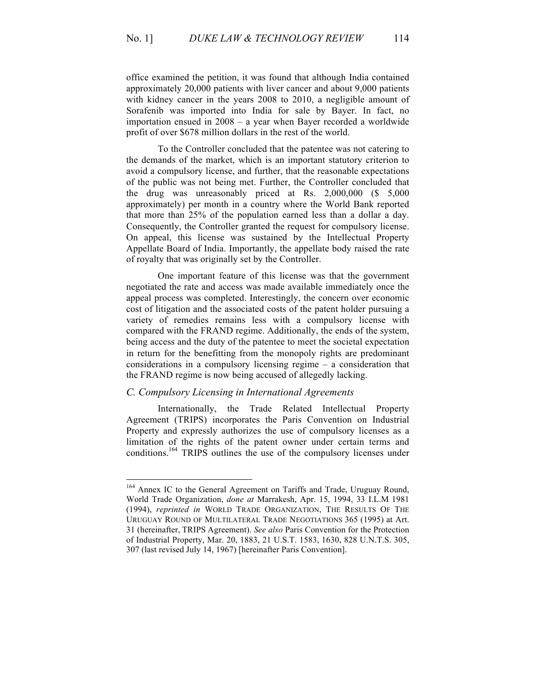office examined the petition, it was found that although India contained approximately 20,000 patients with liver cancer and about 9,000 patients with kidney cancer in the years 2008 to 2010, a negligible amount of Sorafenib was imported into India for sale by Bayer. In fact, no importation ensued in 2008 – a year when Bayer recorded a worldwide profit of over \$678 million dollars in the rest of the world.

To the Controller concluded that the patentee was not catering to the demands of the market, which is an important statutory criterion to avoid a compulsory license, and further, that the reasonable expectations of the public was not being met. Further, the Controller concluded that the drug was unreasonably priced at Rs. 2,000,000 (\$ 5,000 approximately) per month in a country where the World Bank reported that more than 25% of the population earned less than a dollar a day. Consequently, the Controller granted the request for compulsory license. On appeal, this license was sustained by the Intellectual Property Appellate Board of India. Importantly, the appellate body raised the rate of royalty that was originally set by the Controller.

One important feature of this license was that the government negotiated the rate and access was made available immediately once the appeal process was completed. Interestingly, the concern over economic cost of litigation and the associated costs of the patent holder pursuing a variety of remedies remains less with a compulsory license with compared with the FRAND regime. Additionally, the ends of the system, being access and the duty of the patentee to meet the societal expectation in return for the benefitting from the monopoly rights are predominant considerations in a compulsory licensing regime – a consideration that the FRAND regime is now being accused of allegedly lacking.

## *C. Compulsory Licensing in International Agreements*

Internationally, the Trade Related Intellectual Property Agreement (TRIPS) incorporates the Paris Convention on Industrial Property and expressly authorizes the use of compulsory licenses as a limitation of the rights of the patent owner under certain terms and conditions.164 TRIPS outlines the use of the compulsory licenses under

<sup>&</sup>lt;sup>164</sup> Annex IC to the General Agreement on Tariffs and Trade, Uruguay Round, World Trade Organization, *done at* Marrakesh, Apr. 15, 1994, 33 I.L.M 1981 (1994), *reprinted in* WORLD TRADE ORGANIZATION, THE RESULTS OF THE URUGUAY ROUND OF MULTILATERAL TRADE NEGOTIATIONS 365 (1995) at Art. 31 (hereinafter, TRIPS Agreement). *See also* Paris Convention for the Protection of Industrial Property, Mar. 20, 1883, 21 U.S.T. 1583, 1630, 828 U.N.T.S. 305, 307 (last revised July 14, 1967) [hereinafter Paris Convention].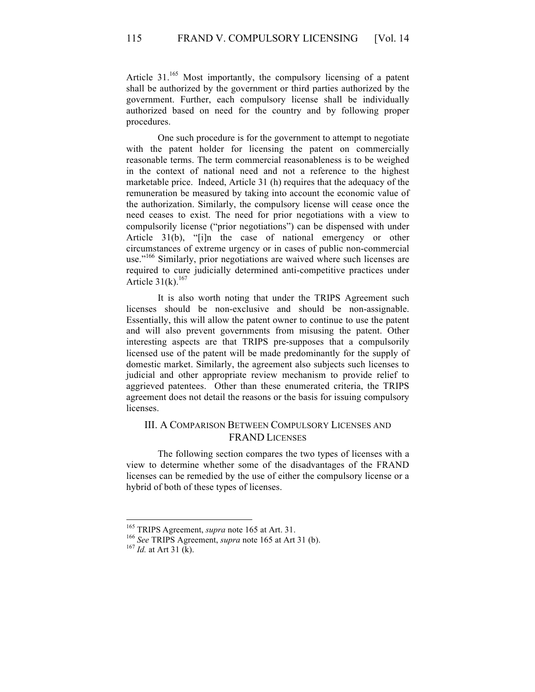Article  $31^{165}$  Most importantly, the compulsory licensing of a patent shall be authorized by the government or third parties authorized by the government. Further, each compulsory license shall be individually authorized based on need for the country and by following proper procedures.

One such procedure is for the government to attempt to negotiate with the patent holder for licensing the patent on commercially reasonable terms. The term commercial reasonableness is to be weighed in the context of national need and not a reference to the highest marketable price. Indeed, Article 31 (h) requires that the adequacy of the remuneration be measured by taking into account the economic value of the authorization. Similarly, the compulsory license will cease once the need ceases to exist. The need for prior negotiations with a view to compulsorily license ("prior negotiations") can be dispensed with under Article 31(b), "[i]n the case of national emergency or other circumstances of extreme urgency or in cases of public non-commercial use."<sup>166</sup> Similarly, prior negotiations are waived where such licenses are required to cure judicially determined anti-competitive practices under Article  $31(k)$ .<sup>167</sup>

It is also worth noting that under the TRIPS Agreement such licenses should be non-exclusive and should be non-assignable. Essentially, this will allow the patent owner to continue to use the patent and will also prevent governments from misusing the patent. Other interesting aspects are that TRIPS pre-supposes that a compulsorily licensed use of the patent will be made predominantly for the supply of domestic market. Similarly, the agreement also subjects such licenses to judicial and other appropriate review mechanism to provide relief to aggrieved patentees. Other than these enumerated criteria, the TRIPS agreement does not detail the reasons or the basis for issuing compulsory licenses.

## III. A COMPARISON BETWEEN COMPULSORY LICENSES AND FRAND LICENSES

The following section compares the two types of licenses with a view to determine whether some of the disadvantages of the FRAND licenses can be remedied by the use of either the compulsory license or a hybrid of both of these types of licenses.

<sup>&</sup>lt;sup>165</sup> TRIPS Agreement, *supra* note 165 at Art. 31.<br><sup>166</sup> *See* TRIPS Agreement, *supra* note 165 at Art 31 (b). <sup>167</sup> *Id.* at Art 31 (k).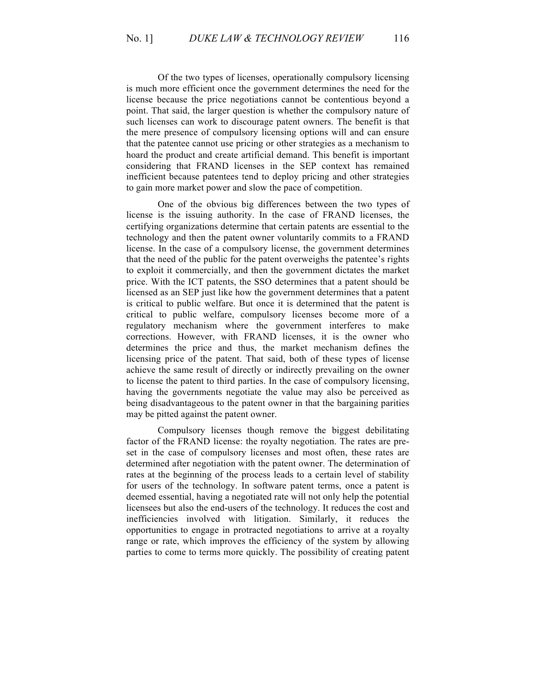Of the two types of licenses, operationally compulsory licensing is much more efficient once the government determines the need for the license because the price negotiations cannot be contentious beyond a point. That said, the larger question is whether the compulsory nature of such licenses can work to discourage patent owners. The benefit is that the mere presence of compulsory licensing options will and can ensure that the patentee cannot use pricing or other strategies as a mechanism to hoard the product and create artificial demand. This benefit is important considering that FRAND licenses in the SEP context has remained inefficient because patentees tend to deploy pricing and other strategies to gain more market power and slow the pace of competition.

One of the obvious big differences between the two types of license is the issuing authority. In the case of FRAND licenses, the certifying organizations determine that certain patents are essential to the technology and then the patent owner voluntarily commits to a FRAND license. In the case of a compulsory license, the government determines that the need of the public for the patent overweighs the patentee's rights to exploit it commercially, and then the government dictates the market price. With the ICT patents, the SSO determines that a patent should be licensed as an SEP just like how the government determines that a patent is critical to public welfare. But once it is determined that the patent is critical to public welfare, compulsory licenses become more of a regulatory mechanism where the government interferes to make corrections. However, with FRAND licenses, it is the owner who determines the price and thus, the market mechanism defines the licensing price of the patent. That said, both of these types of license achieve the same result of directly or indirectly prevailing on the owner to license the patent to third parties. In the case of compulsory licensing, having the governments negotiate the value may also be perceived as being disadvantageous to the patent owner in that the bargaining parities may be pitted against the patent owner.

Compulsory licenses though remove the biggest debilitating factor of the FRAND license: the royalty negotiation. The rates are preset in the case of compulsory licenses and most often, these rates are determined after negotiation with the patent owner. The determination of rates at the beginning of the process leads to a certain level of stability for users of the technology. In software patent terms, once a patent is deemed essential, having a negotiated rate will not only help the potential licensees but also the end-users of the technology. It reduces the cost and inefficiencies involved with litigation. Similarly, it reduces the opportunities to engage in protracted negotiations to arrive at a royalty range or rate, which improves the efficiency of the system by allowing parties to come to terms more quickly. The possibility of creating patent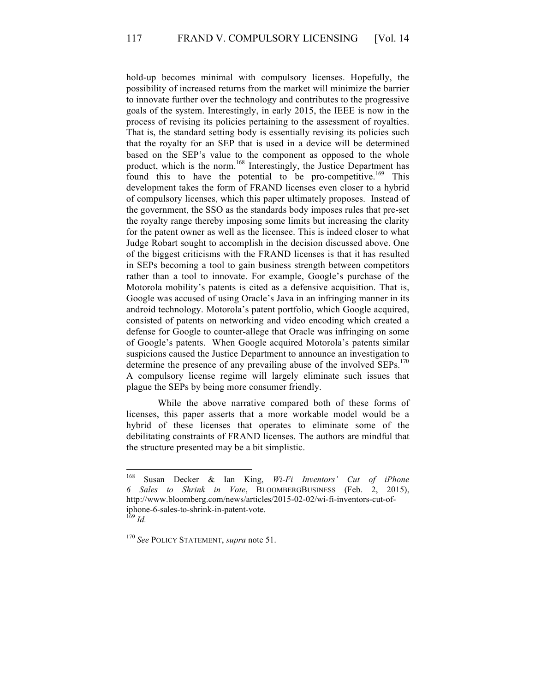hold-up becomes minimal with compulsory licenses. Hopefully, the possibility of increased returns from the market will minimize the barrier to innovate further over the technology and contributes to the progressive goals of the system. Interestingly, in early 2015, the IEEE is now in the process of revising its policies pertaining to the assessment of royalties. That is, the standard setting body is essentially revising its policies such that the royalty for an SEP that is used in a device will be determined based on the SEP's value to the component as opposed to the whole product, which is the norm.<sup>168</sup> Interestingly, the Justice Department has found this to have the potential to be pro-competitive.<sup>169</sup> This development takes the form of FRAND licenses even closer to a hybrid of compulsory licenses, which this paper ultimately proposes. Instead of the government, the SSO as the standards body imposes rules that pre-set the royalty range thereby imposing some limits but increasing the clarity for the patent owner as well as the licensee. This is indeed closer to what Judge Robart sought to accomplish in the decision discussed above. One of the biggest criticisms with the FRAND licenses is that it has resulted in SEPs becoming a tool to gain business strength between competitors rather than a tool to innovate. For example, Google's purchase of the Motorola mobility's patents is cited as a defensive acquisition. That is, Google was accused of using Oracle's Java in an infringing manner in its android technology. Motorola's patent portfolio, which Google acquired, consisted of patents on networking and video encoding which created a defense for Google to counter-allege that Oracle was infringing on some of Google's patents. When Google acquired Motorola's patents similar suspicions caused the Justice Department to announce an investigation to determine the presence of any prevailing abuse of the involved  $SEPs$ .<sup>170</sup> A compulsory license regime will largely eliminate such issues that plague the SEPs by being more consumer friendly.

While the above narrative compared both of these forms of licenses, this paper asserts that a more workable model would be a hybrid of these licenses that operates to eliminate some of the debilitating constraints of FRAND licenses. The authors are mindful that the structure presented may be a bit simplistic.

 <sup>168</sup> Susan Decker & Ian King, *Wi-Fi Inventors' Cut of iPhone 6 Sales to Shrink in Vote*, BLOOMBERGBUSINESS (Feb. 2, 2015), http://www.bloomberg.com/news/articles/2015-02-02/wi-fi-inventors-cut-ofiphone-6-sales-to-shrink-in-patent-vote. <sup>169</sup> *Id.*

<sup>170</sup> *See* POLICY STATEMENT, *supra* note 51.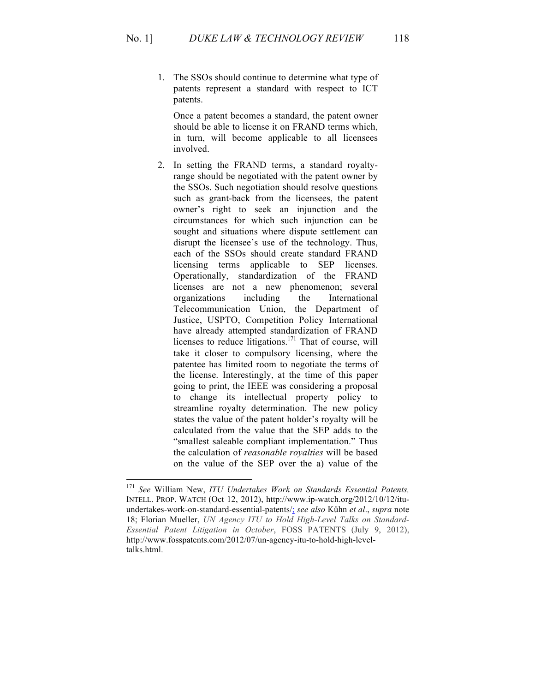- 
- 1. The SSOs should continue to determine what type of patents represent a standard with respect to ICT patents.

Once a patent becomes a standard, the patent owner should be able to license it on FRAND terms which, in turn, will become applicable to all licensees involved.

2. In setting the FRAND terms, a standard royaltyrange should be negotiated with the patent owner by the SSOs. Such negotiation should resolve questions such as grant-back from the licensees, the patent owner's right to seek an injunction and the circumstances for which such injunction can be sought and situations where dispute settlement can disrupt the licensee's use of the technology. Thus, each of the SSOs should create standard FRAND licensing terms applicable to SEP licenses. Operationally, standardization of the FRAND licenses are not a new phenomenon; several organizations including the International Telecommunication Union, the Department of Justice, USPTO, Competition Policy International have already attempted standardization of FRAND licenses to reduce litigations.<sup>171</sup> That of course, will take it closer to compulsory licensing, where the patentee has limited room to negotiate the terms of the license. Interestingly, at the time of this paper going to print, the IEEE was considering a proposal to change its intellectual property policy to streamline royalty determination. The new policy states the value of the patent holder's royalty will be calculated from the value that the SEP adds to the "smallest saleable compliant implementation." Thus the calculation of *reasonable royalties* will be based on the value of the SEP over the a) value of the

 <sup>171</sup> *See* William New, *ITU Undertakes Work on Standards Essential Patents,*  INTELL. PROP. WATCH (Oct 12, 2012), http://www.ip-watch.org/2012/10/12/ituundertakes-work-on-standard-essential-patents/; *see also* Kühn *et al*., *supra* note 18; Florian Mueller, *UN Agency ITU to Hold High-Level Talks on Standard-Essential Patent Litigation in October*, FOSS PATENTS (July 9, 2012), http://www.fosspatents.com/2012/07/un-agency-itu-to-hold-high-leveltalks.html.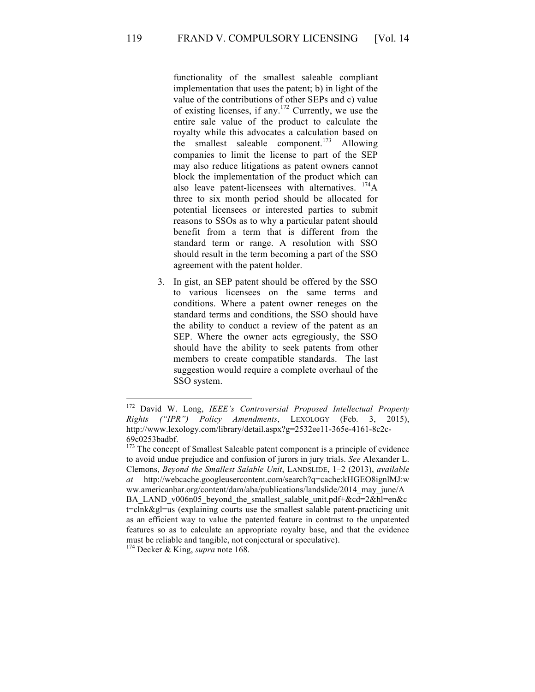functionality of the smallest saleable compliant implementation that uses the patent; b) in light of the value of the contributions of other SEPs and c) value of existing licenses, if any.<sup>172</sup> Currently, we use the entire sale value of the product to calculate the royalty while this advocates a calculation based on the smallest saleable component.<sup>173</sup> Allowing companies to limit the license to part of the SEP may also reduce litigations as patent owners cannot block the implementation of the product which can also leave patent-licensees with alternatives.  $174A$ three to six month period should be allocated for potential licensees or interested parties to submit reasons to SSOs as to why a particular patent should benefit from a term that is different from the standard term or range. A resolution with SSO should result in the term becoming a part of the SSO agreement with the patent holder.

3. In gist, an SEP patent should be offered by the SSO to various licensees on the same terms and conditions. Where a patent owner reneges on the standard terms and conditions, the SSO should have the ability to conduct a review of the patent as an SEP. Where the owner acts egregiously, the SSO should have the ability to seek patents from other members to create compatible standards. The last suggestion would require a complete overhaul of the SSO system.

 <sup>172</sup> David W. Long, *IEEE's Controversial Proposed Intellectual Property Rights ("IPR") Policy Amendments*, LEXOLOGY (Feb. 3, 2015), http://www.lexology.com/library/detail.aspx?g=2532ee11-365e-4161-8c2c-69c0253badbf.

<sup>&</sup>lt;sup>173</sup> The concept of Smallest Saleable patent component is a principle of evidence to avoid undue prejudice and confusion of jurors in jury trials. *See* Alexander L. Clemons, *Beyond the Smallest Salable Unit*, LANDSLIDE, 1–2 (2013), *available at* http://webcache.googleusercontent.com/search?q=cache:kHGEO8ignlMJ:w ww.americanbar.org/content/dam/aba/publications/landslide/2014\_may\_june/A BA\_LAND\_v006n05\_beyond\_the\_smallest\_salable\_unit.pdf+&cd=2&hl=en&c t=clnk&gl=us (explaining courts use the smallest salable patent-practicing unit as an efficient way to value the patented feature in contrast to the unpatented features so as to calculate an appropriate royalty base, and that the evidence must be reliable and tangible, not conjectural or speculative).

<sup>174</sup> Decker & King, *supra* note 168.